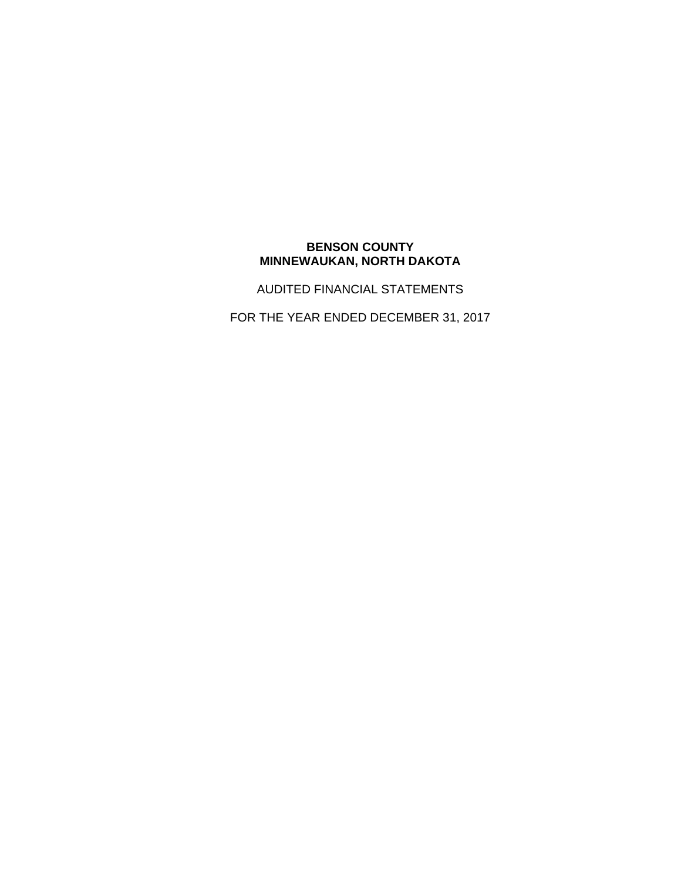# **BENSON COUNTY MINNEWAUKAN, NORTH DAKOTA**

AUDITED FINANCIAL STATEMENTS

FOR THE YEAR ENDED DECEMBER 31, 2017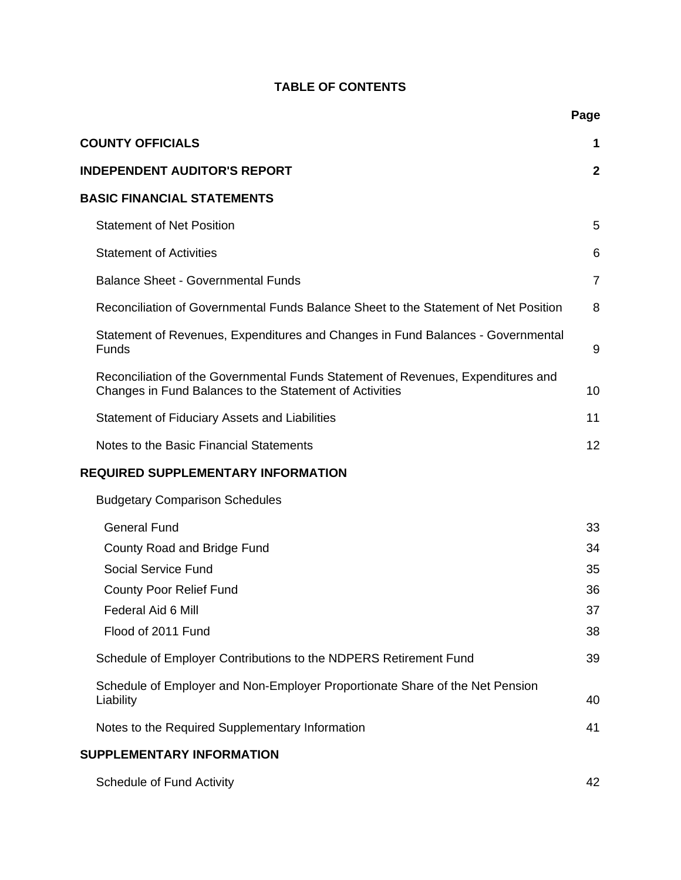# **TABLE OF CONTENTS**

|                                                                                                                                             | Page         |
|---------------------------------------------------------------------------------------------------------------------------------------------|--------------|
| <b>COUNTY OFFICIALS</b>                                                                                                                     | 1            |
| <b>INDEPENDENT AUDITOR'S REPORT</b>                                                                                                         | $\mathbf{2}$ |
| <b>BASIC FINANCIAL STATEMENTS</b>                                                                                                           |              |
| <b>Statement of Net Position</b>                                                                                                            | 5            |
| <b>Statement of Activities</b>                                                                                                              | 6            |
| <b>Balance Sheet - Governmental Funds</b>                                                                                                   | 7            |
| Reconciliation of Governmental Funds Balance Sheet to the Statement of Net Position                                                         | 8            |
| Statement of Revenues, Expenditures and Changes in Fund Balances - Governmental<br>Funds                                                    | 9            |
| Reconciliation of the Governmental Funds Statement of Revenues, Expenditures and<br>Changes in Fund Balances to the Statement of Activities | 10           |
| <b>Statement of Fiduciary Assets and Liabilities</b>                                                                                        | 11           |
| Notes to the Basic Financial Statements                                                                                                     | 12           |
| <b>REQUIRED SUPPLEMENTARY INFORMATION</b>                                                                                                   |              |
| <b>Budgetary Comparison Schedules</b>                                                                                                       |              |
| <b>General Fund</b><br>County Road and Bridge Fund                                                                                          | 33<br>34     |
| Social Service Fund                                                                                                                         | 35           |
| <b>County Poor Relief Fund</b>                                                                                                              | 36           |
| Federal Aid 6 Mill                                                                                                                          | 37           |
| Flood of 2011 Fund                                                                                                                          | 38           |
| Schedule of Employer Contributions to the NDPERS Retirement Fund                                                                            | 39           |
| Schedule of Employer and Non-Employer Proportionate Share of the Net Pension<br>Liability                                                   | 40           |
| Notes to the Required Supplementary Information                                                                                             | 41           |
| <b>SUPPLEMENTARY INFORMATION</b>                                                                                                            |              |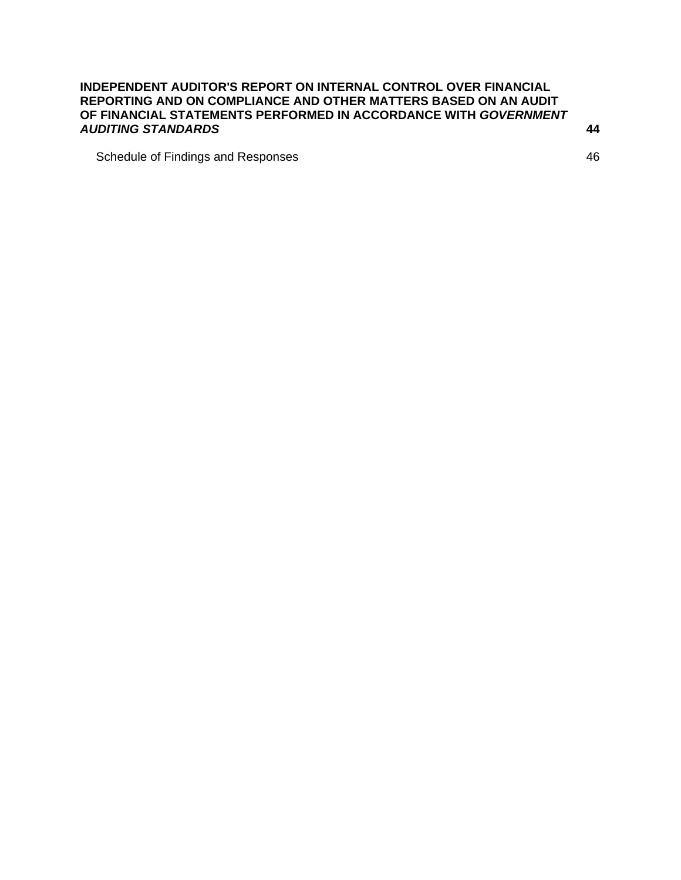# **INDEPENDENT AUDITOR'S REPORT ON INTERNAL CONTROL OVER FINANCIAL REPORTING AND ON COMPLIANCE AND OTHER MATTERS BASED ON AN AUDIT OF FINANCIAL STATEMENTS PERFORMED IN ACCORDANCE WITH** *GOVERNMENT AUDITING STANDARDS* **44**

Schedule of Findings and Responses **46** and  $\frac{1}{2}$  and  $\frac{1}{2}$  and  $\frac{1}{2}$  and  $\frac{1}{2}$  and  $\frac{1}{2}$  and  $\frac{1}{2}$  and  $\frac{1}{2}$  and  $\frac{1}{2}$  and  $\frac{1}{2}$  and  $\frac{1}{2}$  and  $\frac{1}{2}$  and  $\frac{1}{2}$  and  $\frac{1}{2}$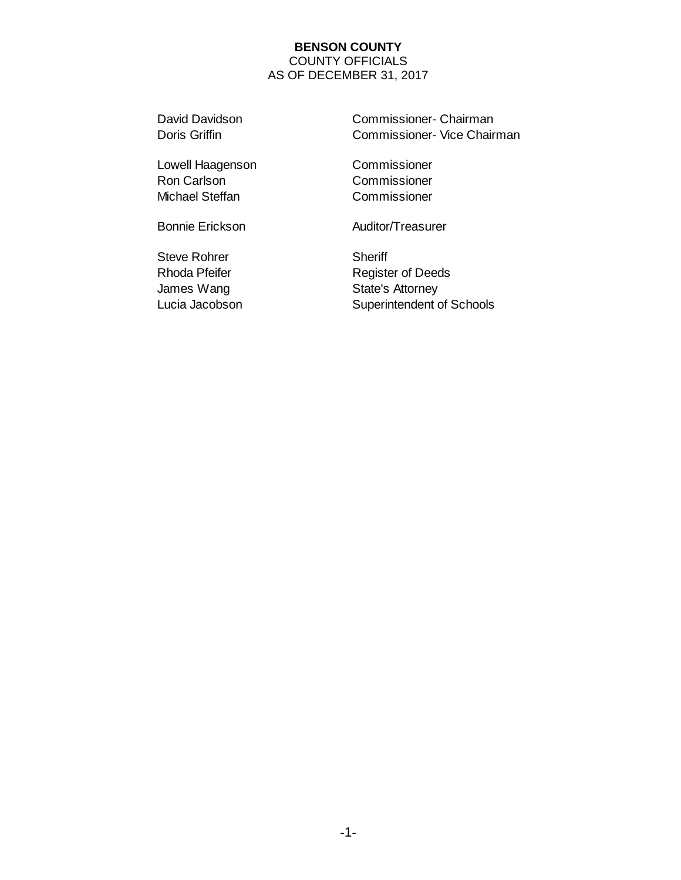# **BENSON COUNTY**  COUNTY OFFICIALS AS OF DECEMBER 31, 2017

Lowell Haagenson Commissioner Ron Carlson Commissioner Michael Steffan Commissioner

David Davidson Commissioner- Chairman Doris Griffin **Commissioner-** Vice Chairman

Bonnie Erickson Auditor/Treasurer

Steve Rohrer Sheriff

Rhoda Pfeifer **Register of Deeds** James Wang **State's Attorney** Lucia Jacobson Superintendent of Schools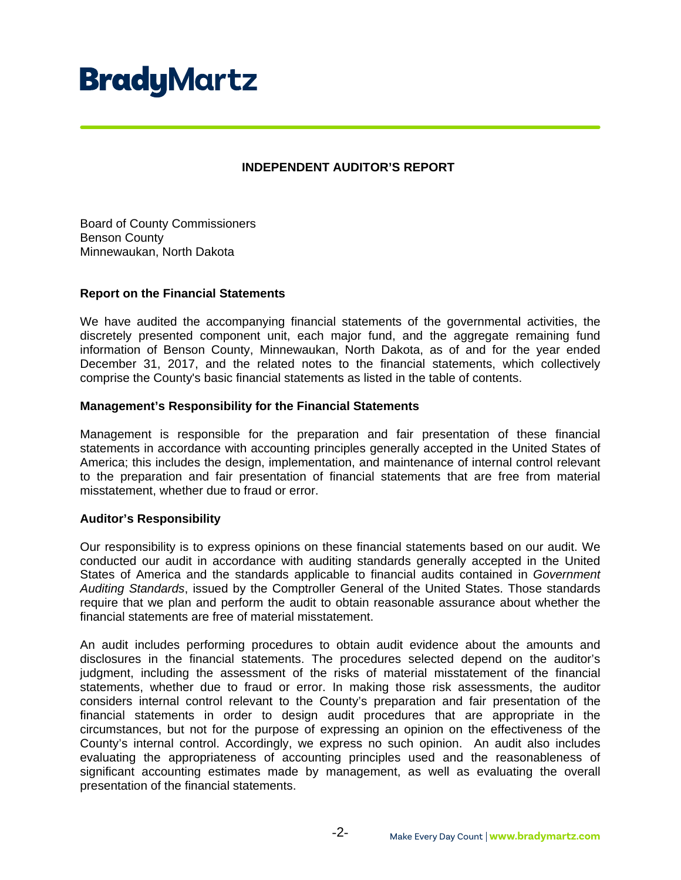# **BradyMartz**

# **INDEPENDENT AUDITOR'S REPORT**

Board of County Commissioners Benson County Minnewaukan, North Dakota

#### **Report on the Financial Statements**

We have audited the accompanying financial statements of the governmental activities, the discretely presented component unit, each major fund, and the aggregate remaining fund information of Benson County, Minnewaukan, North Dakota, as of and for the year ended December 31, 2017, and the related notes to the financial statements, which collectively comprise the County's basic financial statements as listed in the table of contents.

# **Management's Responsibility for the Financial Statements**

Management is responsible for the preparation and fair presentation of these financial statements in accordance with accounting principles generally accepted in the United States of America; this includes the design, implementation, and maintenance of internal control relevant to the preparation and fair presentation of financial statements that are free from material misstatement, whether due to fraud or error.

#### **Auditor's Responsibility**

Our responsibility is to express opinions on these financial statements based on our audit. We conducted our audit in accordance with auditing standards generally accepted in the United States of America and the standards applicable to financial audits contained in *Government Auditing Standards*, issued by the Comptroller General of the United States. Those standards require that we plan and perform the audit to obtain reasonable assurance about whether the financial statements are free of material misstatement.

An audit includes performing procedures to obtain audit evidence about the amounts and disclosures in the financial statements. The procedures selected depend on the auditor's judgment, including the assessment of the risks of material misstatement of the financial statements, whether due to fraud or error. In making those risk assessments, the auditor considers internal control relevant to the County's preparation and fair presentation of the financial statements in order to design audit procedures that are appropriate in the circumstances, but not for the purpose of expressing an opinion on the effectiveness of the County's internal control. Accordingly, we express no such opinion. An audit also includes evaluating the appropriateness of accounting principles used and the reasonableness of significant accounting estimates made by management, as well as evaluating the overall presentation of the financial statements.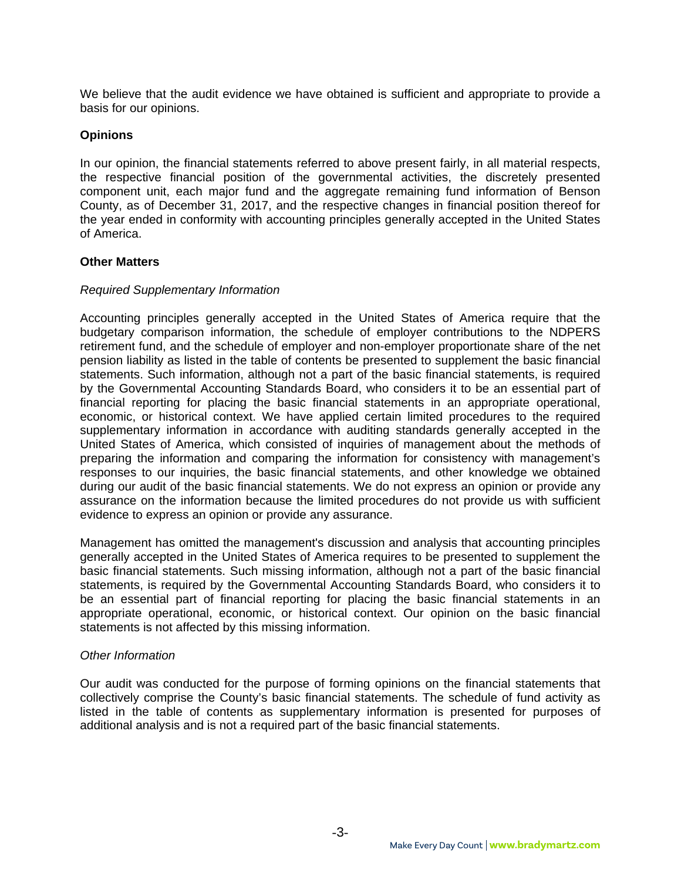We believe that the audit evidence we have obtained is sufficient and appropriate to provide a basis for our opinions.

# **Opinions**

In our opinion, the financial statements referred to above present fairly, in all material respects, the respective financial position of the governmental activities, the discretely presented component unit, each major fund and the aggregate remaining fund information of Benson County, as of December 31, 2017, and the respective changes in financial position thereof for the year ended in conformity with accounting principles generally accepted in the United States of America.

# **Other Matters**

# *Required Supplementary Information*

Accounting principles generally accepted in the United States of America require that the budgetary comparison information, the schedule of employer contributions to the NDPERS retirement fund, and the schedule of employer and non-employer proportionate share of the net pension liability as listed in the table of contents be presented to supplement the basic financial statements. Such information, although not a part of the basic financial statements, is required by the Governmental Accounting Standards Board, who considers it to be an essential part of financial reporting for placing the basic financial statements in an appropriate operational, economic, or historical context. We have applied certain limited procedures to the required supplementary information in accordance with auditing standards generally accepted in the United States of America, which consisted of inquiries of management about the methods of preparing the information and comparing the information for consistency with management's responses to our inquiries, the basic financial statements, and other knowledge we obtained during our audit of the basic financial statements. We do not express an opinion or provide any assurance on the information because the limited procedures do not provide us with sufficient evidence to express an opinion or provide any assurance.

Management has omitted the management's discussion and analysis that accounting principles generally accepted in the United States of America requires to be presented to supplement the basic financial statements. Such missing information, although not a part of the basic financial statements, is required by the Governmental Accounting Standards Board, who considers it to be an essential part of financial reporting for placing the basic financial statements in an appropriate operational, economic, or historical context. Our opinion on the basic financial statements is not affected by this missing information.

# *Other Information*

Our audit was conducted for the purpose of forming opinions on the financial statements that collectively comprise the County's basic financial statements. The schedule of fund activity as listed in the table of contents as supplementary information is presented for purposes of additional analysis and is not a required part of the basic financial statements.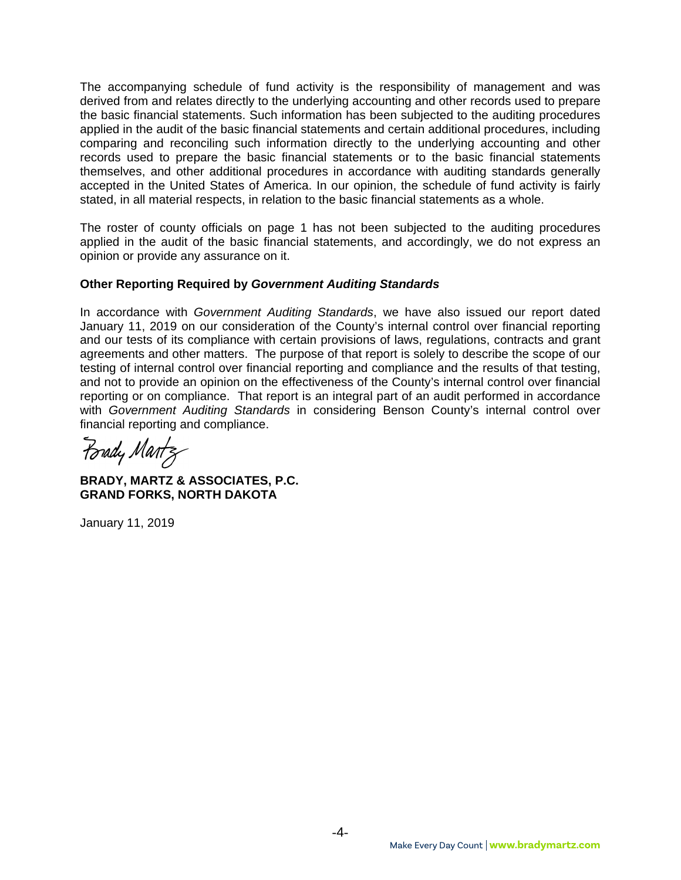The accompanying schedule of fund activity is the responsibility of management and was derived from and relates directly to the underlying accounting and other records used to prepare the basic financial statements. Such information has been subjected to the auditing procedures applied in the audit of the basic financial statements and certain additional procedures, including comparing and reconciling such information directly to the underlying accounting and other records used to prepare the basic financial statements or to the basic financial statements themselves, and other additional procedures in accordance with auditing standards generally accepted in the United States of America. In our opinion, the schedule of fund activity is fairly stated, in all material respects, in relation to the basic financial statements as a whole.

The roster of county officials on page 1 has not been subjected to the auditing procedures applied in the audit of the basic financial statements, and accordingly, we do not express an opinion or provide any assurance on it.

# **Other Reporting Required by** *Government Auditing Standards*

In accordance with *Government Auditing Standards*, we have also issued our report dated January 11, 2019 on our consideration of the County's internal control over financial reporting and our tests of its compliance with certain provisions of laws, regulations, contracts and grant agreements and other matters. The purpose of that report is solely to describe the scope of our testing of internal control over financial reporting and compliance and the results of that testing, and not to provide an opinion on the effectiveness of the County's internal control over financial reporting or on compliance. That report is an integral part of an audit performed in accordance with *Government Auditing Standards* in considering Benson County's internal control over financial reporting and compliance.

Forady Martz

**BRADY, MARTZ & ASSOCIATES, P.C. GRAND FORKS, NORTH DAKOTA**

January 11, 2019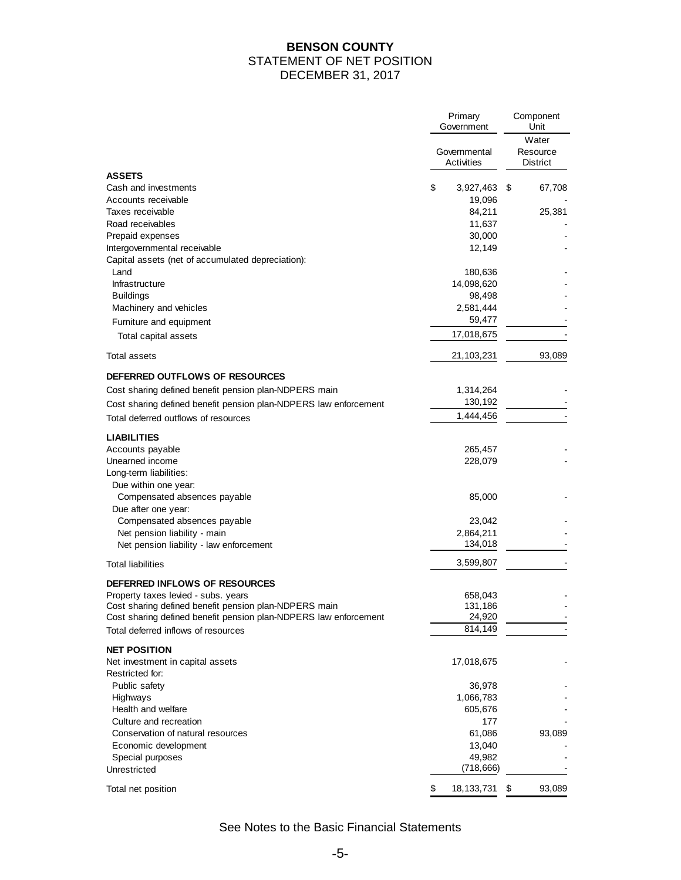# **BENSON COUNTY**  STATEMENT OF NET POSITION DECEMBER 31, 2017

|                                                                                   | Primary<br>Government      | Component<br>Unit             |
|-----------------------------------------------------------------------------------|----------------------------|-------------------------------|
|                                                                                   | Governmental<br>Activities | Water<br>Resource<br>District |
| <b>ASSETS</b>                                                                     |                            |                               |
| Cash and investments                                                              | \$<br>3,927,463 \$         | 67,708                        |
| Accounts receivable                                                               | 19,096                     |                               |
| Taxes receivable                                                                  | 84,211                     | 25,381                        |
| Road receivables                                                                  | 11,637                     |                               |
| Prepaid expenses                                                                  | 30,000                     |                               |
| Intergovernmental receivable<br>Capital assets (net of accumulated depreciation): | 12,149                     |                               |
| Land                                                                              | 180,636                    |                               |
| Infrastructure                                                                    | 14,098,620                 |                               |
| <b>Buildings</b>                                                                  | 98,498                     |                               |
| Machinery and vehicles                                                            | 2,581,444                  |                               |
|                                                                                   |                            |                               |
| Furniture and equipment                                                           | 59,477                     |                               |
| Total capital assets                                                              | 17,018,675                 |                               |
| <b>Total assets</b>                                                               | 21,103,231                 | 93,089                        |
| DEFERRED OUTFLOWS OF RESOURCES                                                    |                            |                               |
| Cost sharing defined benefit pension plan-NDPERS main                             | 1,314,264                  |                               |
| Cost sharing defined benefit pension plan-NDPERS law enforcement                  | 130,192                    |                               |
| Total deferred outflows of resources                                              | 1,444,456                  |                               |
| <b>LIABILITIES</b>                                                                |                            |                               |
| Accounts payable                                                                  | 265,457                    |                               |
| Unearned income                                                                   | 228,079                    |                               |
| Long-term liabilities:                                                            |                            |                               |
| Due within one year:                                                              |                            |                               |
| Compensated absences payable                                                      | 85,000                     |                               |
| Due after one year:                                                               |                            |                               |
| Compensated absences payable                                                      | 23,042                     |                               |
| Net pension liability - main                                                      | 2,864,211                  |                               |
| Net pension liability - law enforcement                                           | 134,018                    |                               |
| <b>Total liabilities</b>                                                          | 3,599,807                  |                               |
| DEFERRED INFLOWS OF RESOURCES                                                     |                            |                               |
| Property taxes levied - subs. years                                               | 658,043                    |                               |
| Cost sharing defined benefit pension plan-NDPERS main                             | 131,186                    |                               |
| Cost sharing defined benefit pension plan-NDPERS law enforcement                  | 24,920                     |                               |
| Total deferred inflows of resources                                               | 814,149                    |                               |
| <b>NET POSITION</b>                                                               |                            |                               |
| Net investment in capital assets<br>Restricted for:                               | 17,018,675                 |                               |
| Public safety                                                                     | 36,978                     |                               |
| Highways                                                                          | 1,066,783                  |                               |
| Health and welfare                                                                | 605,676                    |                               |
| Culture and recreation                                                            | 177                        |                               |
| Conservation of natural resources                                                 | 61,086                     | 93,089                        |
| Economic development                                                              | 13,040                     |                               |
| Special purposes                                                                  | 49,982                     |                               |
| Unrestricted                                                                      | (718, 666)                 |                               |
| Total net position                                                                | \$<br>18, 133, 731         | \$<br>93,089                  |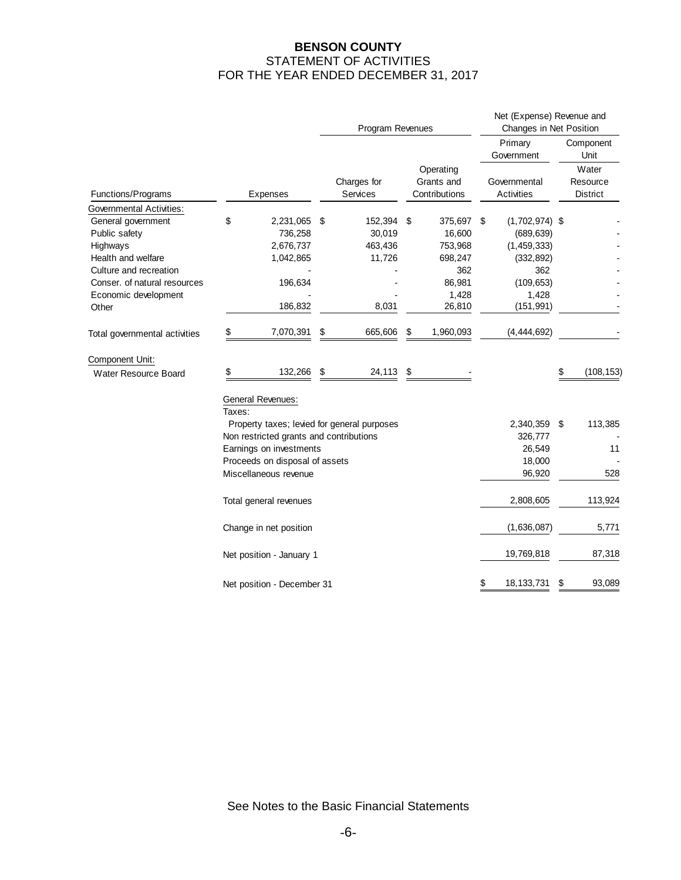# **BENSON COUNTY**  STATEMENT OF ACTIVITIES FOR THE YEAR ENDED DECEMBER 31, 2017

|                                                                                                                                                                                                     |        |                                                                                                                                                                              |    | Program Revenues                                |                                                                                   |         | Net (Expense) Revenue and<br>Changes in Net Position                                                    |                                      |
|-----------------------------------------------------------------------------------------------------------------------------------------------------------------------------------------------------|--------|------------------------------------------------------------------------------------------------------------------------------------------------------------------------------|----|-------------------------------------------------|-----------------------------------------------------------------------------------|---------|---------------------------------------------------------------------------------------------------------|--------------------------------------|
|                                                                                                                                                                                                     |        |                                                                                                                                                                              |    |                                                 |                                                                                   |         | Primary<br>Government                                                                                   | Component<br>Unit                    |
| Functions/Programs                                                                                                                                                                                  |        | Expenses                                                                                                                                                                     |    | Charges for<br>Services                         | Operating<br>Grants and<br>Contributions                                          |         | Governmental<br><b>Activities</b>                                                                       | Water<br>Resource<br><b>District</b> |
| <b>Governmental Activities:</b><br>General government<br>Public safety<br>Highways<br>Health and welfare<br>Culture and recreation<br>Conser. of natural resources<br>Economic development<br>Other | \$     | 2,231,065 \$<br>736,258<br>2,676,737<br>1,042,865<br>196,634<br>186,832                                                                                                      |    | 152,394<br>30,019<br>463,436<br>11,726<br>8,031 | \$<br>375,697<br>16,600<br>753,968<br>698,247<br>362<br>86,981<br>1,428<br>26,810 | \$      | $(1,702,974)$ \$<br>(689, 639)<br>(1,459,333)<br>(332, 892)<br>362<br>(109, 653)<br>1,428<br>(151, 991) |                                      |
| Total governmental activities                                                                                                                                                                       | \$     | 7,070,391                                                                                                                                                                    | \$ | 665,606                                         | \$<br>1,960,093                                                                   |         | (4, 444, 692)                                                                                           |                                      |
| Component Unit:<br><b>Water Resource Board</b>                                                                                                                                                      | \$     | 132,266<br>General Revenues:                                                                                                                                                 | \$ | 24,113                                          | \$                                                                                |         |                                                                                                         | \$<br>(108, 153)                     |
|                                                                                                                                                                                                     | Taxes: | Property taxes; levied for general purposes<br>Non restricted grants and contributions<br>Earnings on investments<br>Proceeds on disposal of assets<br>Miscellaneous revenue |    |                                                 |                                                                                   |         | 2,340,359 \$<br>326,777<br>26,549<br>18,000<br>96,920                                                   | 113,385<br>11<br>528                 |
|                                                                                                                                                                                                     |        | Total general revenues                                                                                                                                                       |    |                                                 | 2,808,605                                                                         | 113,924 |                                                                                                         |                                      |
|                                                                                                                                                                                                     |        | Change in net position                                                                                                                                                       |    |                                                 |                                                                                   |         | (1,636,087)                                                                                             | 5,771                                |
|                                                                                                                                                                                                     |        | Net position - January 1                                                                                                                                                     |    |                                                 |                                                                                   |         | 19,769,818                                                                                              | 87,318                               |
|                                                                                                                                                                                                     |        | Net position - December 31                                                                                                                                                   |    |                                                 |                                                                                   | \$      | 18, 133, 731                                                                                            | \$<br>93,089                         |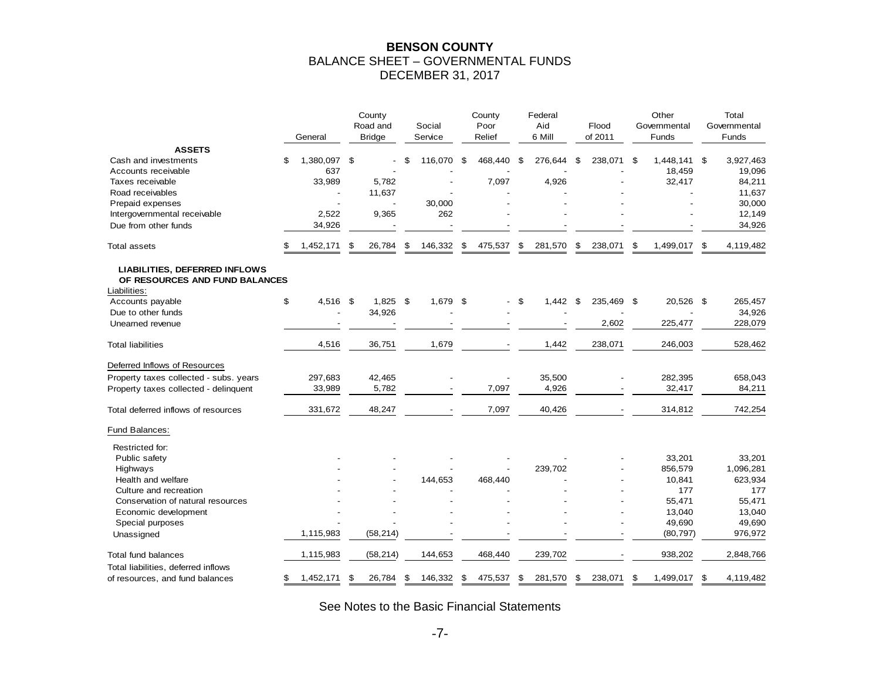#### **BENSON COUNTY**  BALANCE SHEET – GOVERNMENTAL FUNDS DECEMBER 31, 2017

|                                                                                        |     | General          | County<br>Road and<br><b>Bridge</b> | Social<br>Service |     | County<br>Poor<br>Relief | Federal<br>Aid<br>6 Mill | Flood<br>of 2011 |     | Other<br>Governmental<br>Funds |      | Total<br>Governmental<br>Funds |
|----------------------------------------------------------------------------------------|-----|------------------|-------------------------------------|-------------------|-----|--------------------------|--------------------------|------------------|-----|--------------------------------|------|--------------------------------|
| <b>ASSETS</b>                                                                          |     |                  |                                     |                   |     |                          |                          |                  |     |                                |      |                                |
| Cash and investments<br>Accounts receivable                                            | \$  | 1,380,097<br>637 | \$                                  | \$<br>116,070     | \$  | 468,440                  | \$<br>276,644            | \$<br>238,071    | \$  | 1,448,141 \$<br>18,459         |      | 3,927,463<br>19,096            |
| Taxes receivable                                                                       |     | 33,989           | 5,782                               |                   |     | 7,097                    | 4,926                    |                  |     | 32,417                         |      | 84,211                         |
| Road receivables                                                                       |     |                  | 11,637                              |                   |     |                          |                          |                  |     |                                |      | 11,637                         |
| Prepaid expenses                                                                       |     |                  |                                     | 30,000            |     |                          |                          |                  |     |                                |      | 30,000                         |
| Intergovernmental receivable                                                           |     | 2,522            | 9,365                               | 262               |     |                          |                          |                  |     |                                |      | 12,149                         |
| Due from other funds                                                                   |     | 34,926           |                                     |                   |     |                          |                          |                  |     |                                |      | 34,926                         |
|                                                                                        | \$. | 1,452,171        | \$<br>26,784                        | \$<br>146,332     | \$  | 475,537                  | \$<br>281,570            | \$<br>238,071    | \$  | 1,499,017                      | \$   | 4,119,482                      |
| <b>Total assets</b>                                                                    |     |                  |                                     |                   |     |                          |                          |                  |     |                                |      |                                |
| <b>LIABILITIES, DEFERRED INFLOWS</b><br>OF RESOURCES AND FUND BALANCES<br>Liabilities: |     |                  |                                     |                   |     |                          |                          |                  |     |                                |      |                                |
| Accounts payable                                                                       | \$  | 4,516 \$         | $1.825$ \$                          | 1,679 \$          |     |                          | \$<br>1,442              | \$<br>235,469 \$ |     | 20,526 \$                      |      | 265,457                        |
| Due to other funds                                                                     |     |                  | 34,926                              |                   |     |                          |                          |                  |     |                                |      | 34,926                         |
| Unearned revenue                                                                       |     |                  |                                     |                   |     |                          |                          | 2,602            |     | 225,477                        |      | 228,079                        |
| <b>Total liabilities</b>                                                               |     | 4,516            | 36,751                              | 1,679             |     |                          | 1,442                    | 238,071          |     | 246.003                        |      | 528,462                        |
| Deferred Inflows of Resources                                                          |     |                  |                                     |                   |     |                          |                          |                  |     |                                |      |                                |
| Property taxes collected - subs. years                                                 |     | 297,683          | 42,465                              |                   |     | $\overline{a}$           | 35,500                   |                  |     | 282,395                        |      | 658,043                        |
| Property taxes collected - delinquent                                                  |     | 33,989           | 5,782                               |                   |     | 7,097                    | 4,926                    |                  |     | 32,417                         |      | 84,211                         |
|                                                                                        |     |                  |                                     |                   |     |                          |                          |                  |     |                                |      |                                |
| Total deferred inflows of resources                                                    |     | 331,672          | 48,247                              |                   |     | 7,097                    | 40,426                   |                  |     | 314,812                        |      | 742,254                        |
| Fund Balances:                                                                         |     |                  |                                     |                   |     |                          |                          |                  |     |                                |      |                                |
| Restricted for:                                                                        |     |                  |                                     |                   |     |                          |                          |                  |     |                                |      |                                |
| Public safety                                                                          |     |                  |                                     |                   |     |                          |                          |                  |     | 33,201                         |      | 33,201                         |
| Highways                                                                               |     |                  |                                     |                   |     |                          | 239,702                  |                  |     | 856,579                        |      | 1,096,281                      |
| Health and welfare                                                                     |     |                  |                                     | 144,653           |     | 468,440                  |                          |                  |     | 10,841                         |      | 623,934                        |
| Culture and recreation                                                                 |     |                  |                                     |                   |     |                          |                          |                  |     | 177                            |      | 177                            |
| Conservation of natural resources                                                      |     |                  |                                     |                   |     |                          |                          |                  |     | 55,471                         |      | 55,471                         |
| Economic development                                                                   |     |                  |                                     |                   |     |                          |                          |                  |     | 13,040                         |      | 13,040                         |
| Special purposes                                                                       |     |                  |                                     |                   |     |                          |                          |                  |     | 49,690                         |      | 49,690                         |
| Unassigned                                                                             |     | 1,115,983        | (58, 214)                           |                   |     |                          |                          |                  |     | (80, 797)                      |      | 976,972                        |
| Total fund balances                                                                    |     | 1,115,983        | (58, 214)                           | 144,653           |     | 468,440                  | 239,702                  |                  |     | 938,202                        |      | 2,848,766                      |
| Total liabilities, deferred inflows                                                    |     |                  |                                     |                   |     |                          |                          |                  |     |                                |      |                                |
| of resources, and fund balances                                                        | \$  | 1,452,171        | \$<br>26,784                        | \$<br>146,332     | -\$ | 475,537                  | \$<br>281,570            | \$<br>238,071    | -\$ | 1,499,017                      | - \$ | 4,119,482                      |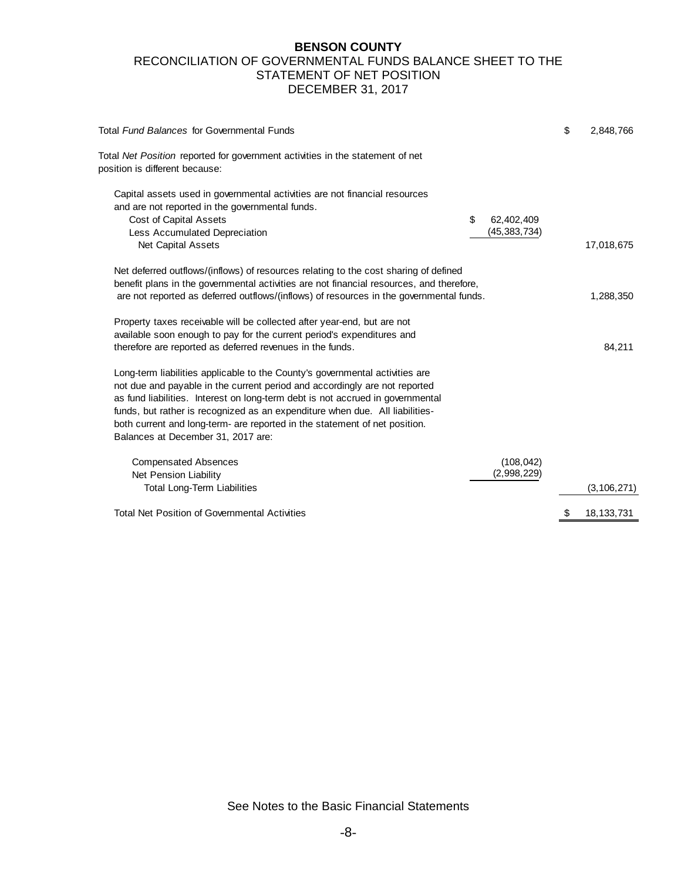# **BENSON COUNTY**  RECONCILIATION OF GOVERNMENTAL FUNDS BALANCE SHEET TO THE STATEMENT OF NET POSITION DECEMBER 31, 2017

| \$<br>2,848,766    |
|--------------------|
|                    |
|                    |
| 17,018,675         |
|                    |
| 1,288,350          |
|                    |
| 84,211             |
|                    |
|                    |
|                    |
| (3, 106, 271)      |
| \$<br>18, 133, 731 |
|                    |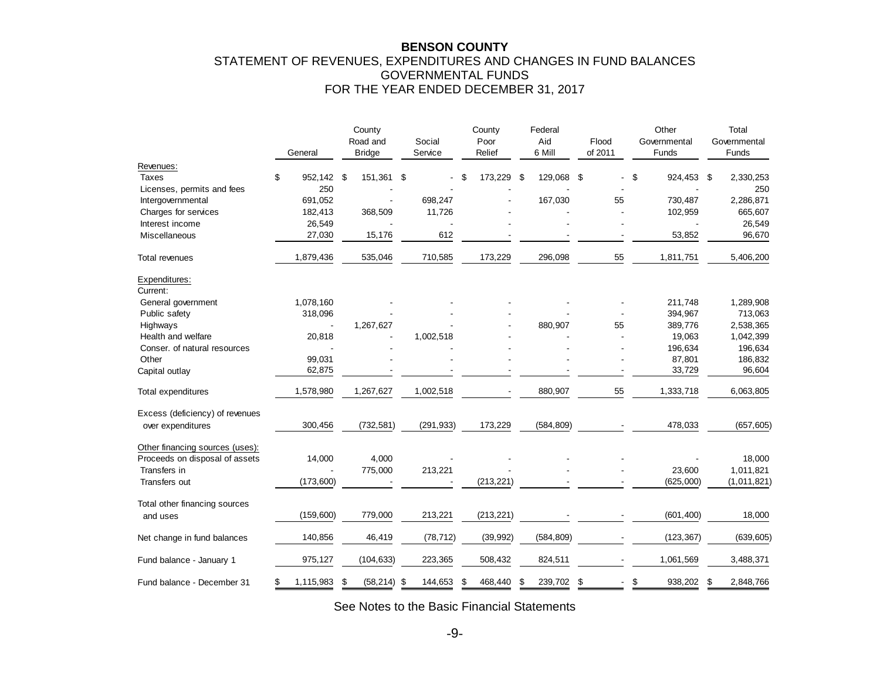#### **BENSON COUNTY**

# STATEMENT OF REVENUES, EXPENDITURES AND CHANGES IN FUND BALANCES GOVERNMENTAL FUNDS FOR THE YEAR ENDED DECEMBER 31, 2017

|                                 | General         |                | County<br>Road and<br><b>Bridge</b> |     | Social<br>Service | County<br>Poor<br>Relief | Federal<br>Aid<br>6 Mill | Flood<br>of 2011 |    | Other<br>Governmental<br>Funds |     | Total<br>Governmental<br>Funds |
|---------------------------------|-----------------|----------------|-------------------------------------|-----|-------------------|--------------------------|--------------------------|------------------|----|--------------------------------|-----|--------------------------------|
| Revenues:                       |                 |                |                                     |     |                   |                          |                          |                  |    |                                |     |                                |
| <b>Taxes</b>                    | \$              | 952,142        | 151,361<br>-\$                      | -\$ |                   | \$<br>173,229            | \$<br>129,068            | -\$              |    | \$<br>924,453                  | -\$ | 2,330,253                      |
| Licenses, permits and fees      |                 | 250            |                                     |     |                   |                          |                          |                  |    |                                |     | 250                            |
| Intergovernmental               |                 | 691,052        |                                     |     | 698,247           |                          | 167,030                  |                  | 55 | 730,487                        |     | 2,286,871                      |
| Charges for services            |                 | 182,413        | 368,509                             |     | 11,726            |                          |                          |                  |    | 102,959                        |     | 665,607                        |
| Interest income                 |                 | 26,549         |                                     |     |                   |                          |                          |                  |    |                                |     | 26,549                         |
| Miscellaneous                   |                 | 27,030         | 15,176                              |     | 612               |                          |                          |                  |    | 53,852                         |     | 96,670                         |
| Total revenues                  | 1,879,436       |                | 535,046                             |     | 710,585           | 173,229                  | 296,098                  |                  | 55 | 1,811,751                      |     | 5,406,200                      |
| Expenditures:<br>Current:       |                 |                |                                     |     |                   |                          |                          |                  |    |                                |     |                                |
| General government              | 1,078,160       |                |                                     |     |                   |                          |                          |                  |    | 211,748                        |     | 1,289,908                      |
| Public safety                   |                 | 318,096        |                                     |     |                   |                          |                          |                  |    | 394,967                        |     | 713,063                        |
| Highways                        |                 | $\overline{a}$ | 1,267,627                           |     |                   |                          | 880,907                  |                  | 55 | 389,776                        |     | 2,538,365                      |
| Health and welfare              |                 | 20,818         |                                     |     | 1,002,518         |                          |                          |                  |    | 19,063                         |     | 1,042,399                      |
| Conser, of natural resources    |                 |                |                                     |     |                   |                          |                          |                  |    | 196,634                        |     | 196,634                        |
| Other                           |                 | 99,031         |                                     |     |                   |                          |                          |                  |    | 87,801                         |     | 186,832                        |
| Capital outlay                  |                 | 62,875         |                                     |     |                   |                          |                          |                  |    | 33,729                         |     | 96,604                         |
| Total expenditures              | 1,578,980       |                | 1,267,627                           |     | 1,002,518         |                          | 880,907                  |                  | 55 | 1,333,718                      |     | 6,063,805                      |
| Excess (deficiency) of revenues |                 |                |                                     |     |                   |                          |                          |                  |    |                                |     |                                |
| over expenditures               |                 | 300,456        | (732, 581)                          |     | (291, 933)        | 173,229                  | (584, 809)               |                  |    | 478,033                        |     | (657, 605)                     |
| Other financing sources (uses): |                 |                |                                     |     |                   |                          |                          |                  |    |                                |     |                                |
| Proceeds on disposal of assets  |                 | 14,000         | 4,000                               |     |                   |                          |                          |                  |    |                                |     | 18,000                         |
| Transfers in                    |                 |                | 775,000                             |     | 213,221           |                          |                          |                  |    | 23,600                         |     | 1,011,821                      |
| Transfers out                   |                 | (173,600)      |                                     |     |                   | (213, 221)               |                          |                  |    | (625,000)                      |     | (1,011,821)                    |
| Total other financing sources   |                 |                |                                     |     |                   |                          |                          |                  |    |                                |     |                                |
| and uses                        |                 | (159,600)      | 779,000                             |     | 213,221           | (213, 221)               |                          |                  |    | (601, 400)                     |     | 18,000                         |
| Net change in fund balances     |                 | 140,856        | 46,419                              |     | (78, 712)         | (39,992)                 | (584, 809)               |                  |    | (123, 367)                     |     | (639, 605)                     |
| Fund balance - January 1        |                 | 975,127        | (104, 633)                          |     | 223,365           | 508,432                  | 824,511                  |                  |    | 1,061,569                      |     | 3,488,371                      |
| Fund balance - December 31      | 1,115,983<br>\$ |                | $(58, 214)$ \$<br>\$                |     | 144,653           | \$<br>468,440            | \$<br>239,702            | \$               |    | \$<br>938,202                  | \$  | 2,848,766                      |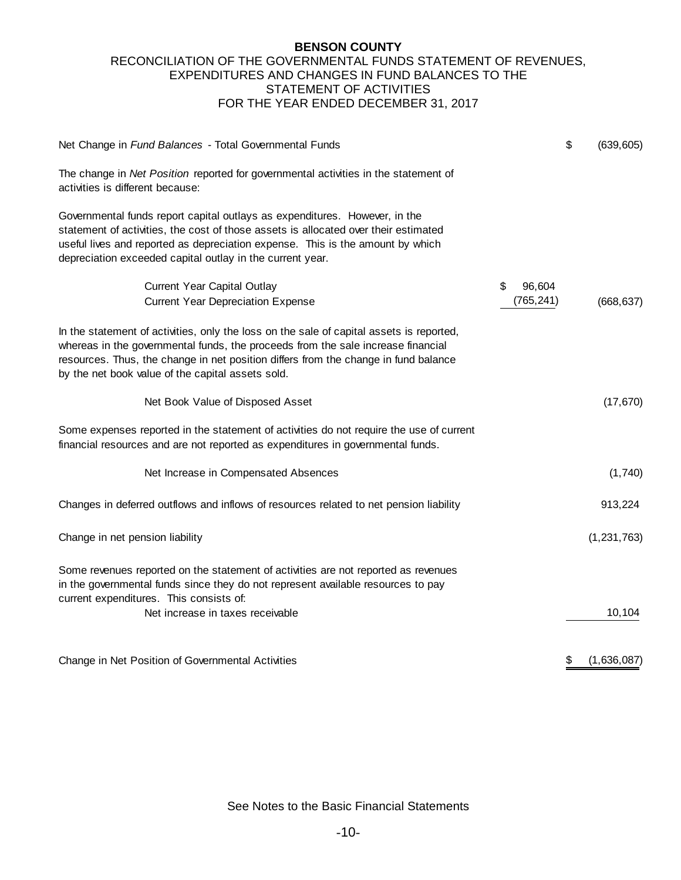## **BENSON COUNTY**  RECONCILIATION OF THE GOVERNMENTAL FUNDS STATEMENT OF REVENUES, EXPENDITURES AND CHANGES IN FUND BALANCES TO THE STATEMENT OF ACTIVITIES FOR THE YEAR ENDED DECEMBER 31, 2017

| Net Change in Fund Balances - Total Governmental Funds                                                                                                                                                                                                                                                                   |                            | \$<br>(639, 605)  |
|--------------------------------------------------------------------------------------------------------------------------------------------------------------------------------------------------------------------------------------------------------------------------------------------------------------------------|----------------------------|-------------------|
| The change in Net Position reported for governmental activities in the statement of<br>activities is different because:                                                                                                                                                                                                  |                            |                   |
| Governmental funds report capital outlays as expenditures. However, in the<br>statement of activities, the cost of those assets is allocated over their estimated<br>useful lives and reported as depreciation expense. This is the amount by which<br>depreciation exceeded capital outlay in the current year.         |                            |                   |
| <b>Current Year Capital Outlay</b><br><b>Current Year Depreciation Expense</b>                                                                                                                                                                                                                                           | \$<br>96,604<br>(765, 241) | (668, 637)        |
| In the statement of activities, only the loss on the sale of capital assets is reported,<br>whereas in the governmental funds, the proceeds from the sale increase financial<br>resources. Thus, the change in net position differs from the change in fund balance<br>by the net book value of the capital assets sold. |                            |                   |
| Net Book Value of Disposed Asset                                                                                                                                                                                                                                                                                         |                            | (17, 670)         |
| Some expenses reported in the statement of activities do not require the use of current<br>financial resources and are not reported as expenditures in governmental funds.                                                                                                                                               |                            |                   |
| Net Increase in Compensated Absences                                                                                                                                                                                                                                                                                     |                            | (1,740)           |
| Changes in deferred outflows and inflows of resources related to net pension liability                                                                                                                                                                                                                                   |                            | 913,224           |
| Change in net pension liability                                                                                                                                                                                                                                                                                          |                            | (1, 231, 763)     |
| Some revenues reported on the statement of activities are not reported as revenues<br>in the governmental funds since they do not represent available resources to pay<br>current expenditures. This consists of:                                                                                                        |                            |                   |
| Net increase in taxes receivable                                                                                                                                                                                                                                                                                         |                            | 10,104            |
| Change in Net Position of Governmental Activities                                                                                                                                                                                                                                                                        |                            | \$<br>(1,636,087) |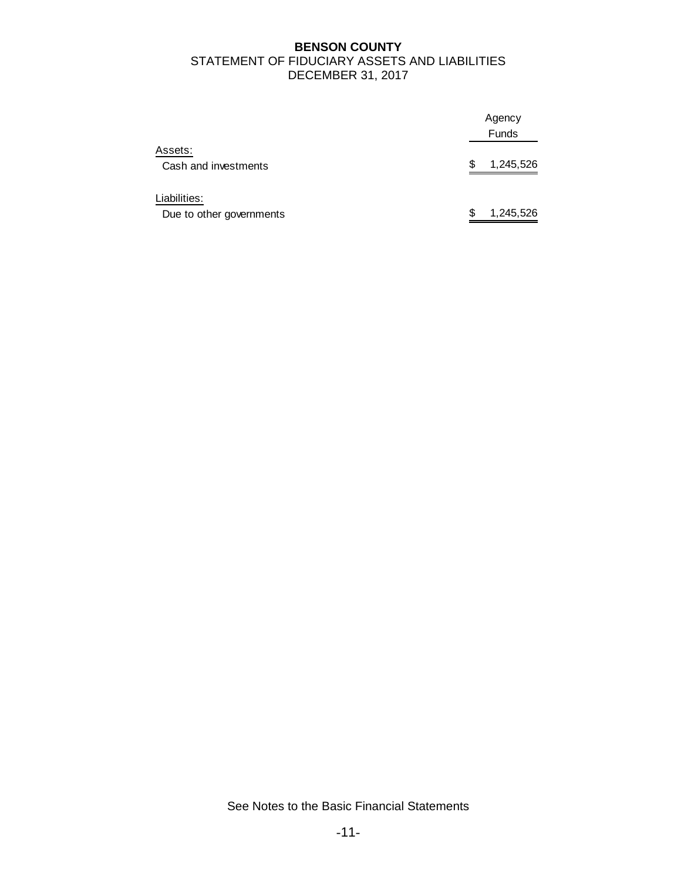# **BENSON COUNTY**  STATEMENT OF FIDUCIARY ASSETS AND LIABILITIES DECEMBER 31, 2017

|                                          | Agency<br>Funds |
|------------------------------------------|-----------------|
| Assets:<br>Cash and investments          | 1,245,526       |
| Liabilities:<br>Due to other governments | 1,245,526       |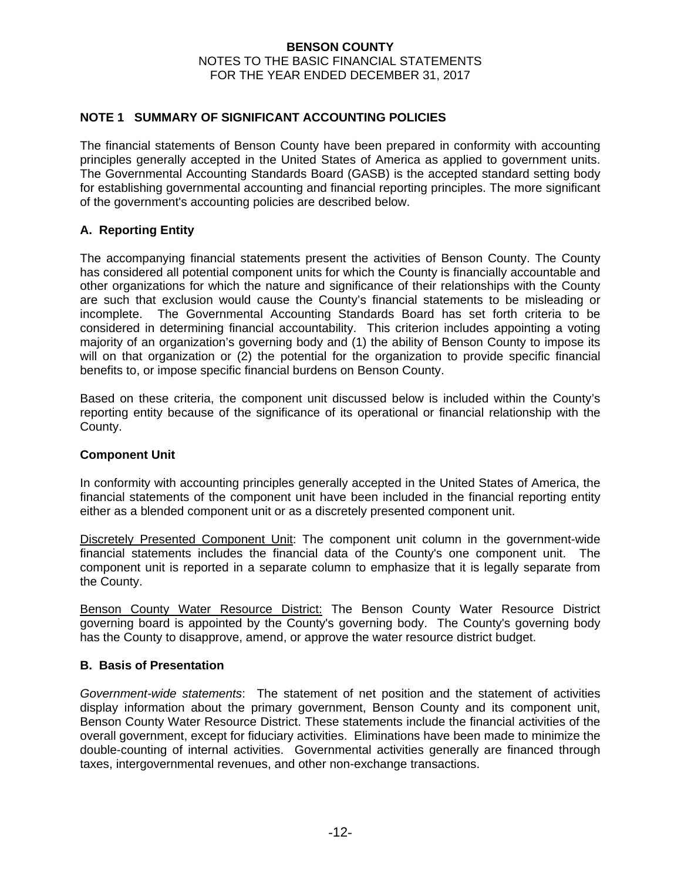# **NOTE 1 SUMMARY OF SIGNIFICANT ACCOUNTING POLICIES**

The financial statements of Benson County have been prepared in conformity with accounting principles generally accepted in the United States of America as applied to government units. The Governmental Accounting Standards Board (GASB) is the accepted standard setting body for establishing governmental accounting and financial reporting principles. The more significant of the government's accounting policies are described below.

# **A. Reporting Entity**

The accompanying financial statements present the activities of Benson County. The County has considered all potential component units for which the County is financially accountable and other organizations for which the nature and significance of their relationships with the County are such that exclusion would cause the County's financial statements to be misleading or incomplete. The Governmental Accounting Standards Board has set forth criteria to be considered in determining financial accountability. This criterion includes appointing a voting majority of an organization's governing body and (1) the ability of Benson County to impose its will on that organization or (2) the potential for the organization to provide specific financial benefits to, or impose specific financial burdens on Benson County.

Based on these criteria, the component unit discussed below is included within the County's reporting entity because of the significance of its operational or financial relationship with the County.

#### **Component Unit**

In conformity with accounting principles generally accepted in the United States of America, the financial statements of the component unit have been included in the financial reporting entity either as a blended component unit or as a discretely presented component unit.

Discretely Presented Component Unit: The component unit column in the government-wide financial statements includes the financial data of the County's one component unit. The component unit is reported in a separate column to emphasize that it is legally separate from the County.

Benson County Water Resource District: The Benson County Water Resource District governing board is appointed by the County's governing body. The County's governing body has the County to disapprove, amend, or approve the water resource district budget.

#### **B. Basis of Presentation**

*Government-wide statements*: The statement of net position and the statement of activities display information about the primary government, Benson County and its component unit, Benson County Water Resource District. These statements include the financial activities of the overall government, except for fiduciary activities. Eliminations have been made to minimize the double-counting of internal activities. Governmental activities generally are financed through taxes, intergovernmental revenues, and other non-exchange transactions.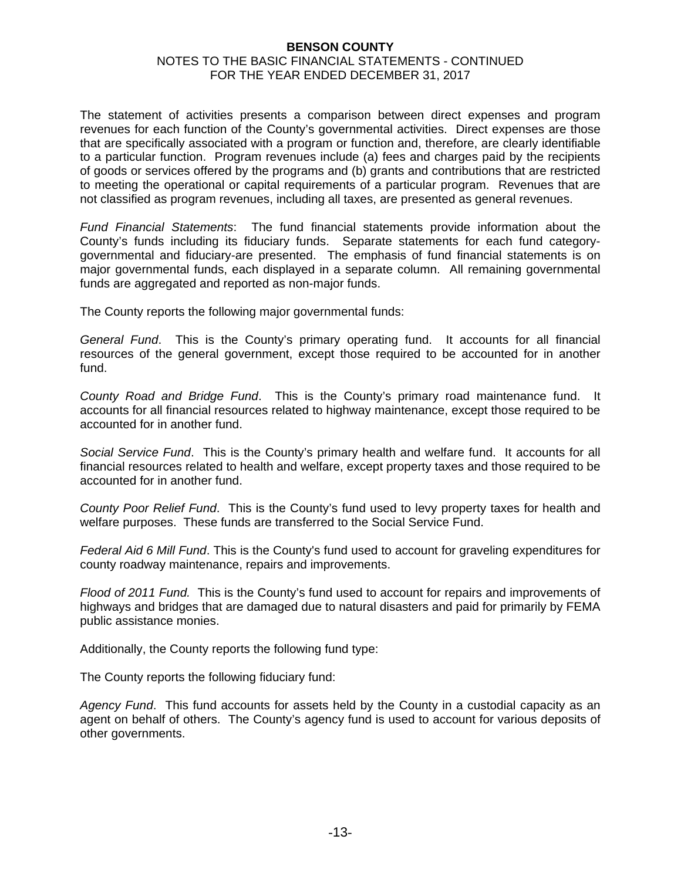The statement of activities presents a comparison between direct expenses and program revenues for each function of the County's governmental activities. Direct expenses are those that are specifically associated with a program or function and, therefore, are clearly identifiable to a particular function. Program revenues include (a) fees and charges paid by the recipients of goods or services offered by the programs and (b) grants and contributions that are restricted to meeting the operational or capital requirements of a particular program. Revenues that are not classified as program revenues, including all taxes, are presented as general revenues.

*Fund Financial Statements*: The fund financial statements provide information about the County's funds including its fiduciary funds. Separate statements for each fund categorygovernmental and fiduciary-are presented. The emphasis of fund financial statements is on major governmental funds, each displayed in a separate column. All remaining governmental funds are aggregated and reported as non-major funds.

The County reports the following major governmental funds:

*General Fund*. This is the County's primary operating fund. It accounts for all financial resources of the general government, except those required to be accounted for in another fund.

*County Road and Bridge Fund*. This is the County's primary road maintenance fund. It accounts for all financial resources related to highway maintenance, except those required to be accounted for in another fund.

*Social Service Fund*. This is the County's primary health and welfare fund. It accounts for all financial resources related to health and welfare, except property taxes and those required to be accounted for in another fund.

*County Poor Relief Fund*. This is the County's fund used to levy property taxes for health and welfare purposes. These funds are transferred to the Social Service Fund.

*Federal Aid 6 Mill Fund*. This is the County's fund used to account for graveling expenditures for county roadway maintenance, repairs and improvements.

*Flood of 2011 Fund.* This is the County's fund used to account for repairs and improvements of highways and bridges that are damaged due to natural disasters and paid for primarily by FEMA public assistance monies.

Additionally, the County reports the following fund type:

The County reports the following fiduciary fund:

*Agency Fund*. This fund accounts for assets held by the County in a custodial capacity as an agent on behalf of others. The County's agency fund is used to account for various deposits of other governments.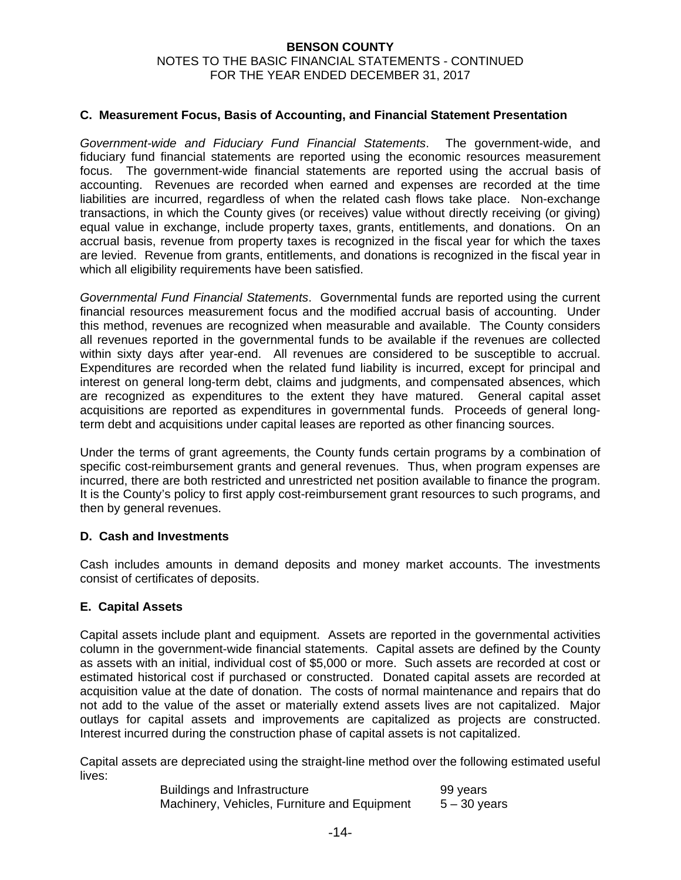## **C. Measurement Focus, Basis of Accounting, and Financial Statement Presentation**

*Government-wide and Fiduciary Fund Financial Statements*. The government-wide, and fiduciary fund financial statements are reported using the economic resources measurement focus. The government-wide financial statements are reported using the accrual basis of accounting. Revenues are recorded when earned and expenses are recorded at the time liabilities are incurred, regardless of when the related cash flows take place. Non-exchange transactions, in which the County gives (or receives) value without directly receiving (or giving) equal value in exchange, include property taxes, grants, entitlements, and donations. On an accrual basis, revenue from property taxes is recognized in the fiscal year for which the taxes are levied. Revenue from grants, entitlements, and donations is recognized in the fiscal year in which all eligibility requirements have been satisfied.

*Governmental Fund Financial Statements*. Governmental funds are reported using the current financial resources measurement focus and the modified accrual basis of accounting. Under this method, revenues are recognized when measurable and available. The County considers all revenues reported in the governmental funds to be available if the revenues are collected within sixty days after year-end. All revenues are considered to be susceptible to accrual. Expenditures are recorded when the related fund liability is incurred, except for principal and interest on general long-term debt, claims and judgments, and compensated absences, which are recognized as expenditures to the extent they have matured. General capital asset acquisitions are reported as expenditures in governmental funds. Proceeds of general longterm debt and acquisitions under capital leases are reported as other financing sources.

Under the terms of grant agreements, the County funds certain programs by a combination of specific cost-reimbursement grants and general revenues. Thus, when program expenses are incurred, there are both restricted and unrestricted net position available to finance the program. It is the County's policy to first apply cost-reimbursement grant resources to such programs, and then by general revenues.

#### **D. Cash and Investments**

Cash includes amounts in demand deposits and money market accounts. The investments consist of certificates of deposits.

#### **E. Capital Assets**

Capital assets include plant and equipment. Assets are reported in the governmental activities column in the government-wide financial statements. Capital assets are defined by the County as assets with an initial, individual cost of \$5,000 or more. Such assets are recorded at cost or estimated historical cost if purchased or constructed. Donated capital assets are recorded at acquisition value at the date of donation. The costs of normal maintenance and repairs that do not add to the value of the asset or materially extend assets lives are not capitalized. Major outlays for capital assets and improvements are capitalized as projects are constructed. Interest incurred during the construction phase of capital assets is not capitalized.

Capital assets are depreciated using the straight-line method over the following estimated useful lives:

| Buildings and Infrastructure                 | 99 years       |
|----------------------------------------------|----------------|
| Machinery, Vehicles, Furniture and Equipment | $5 - 30$ years |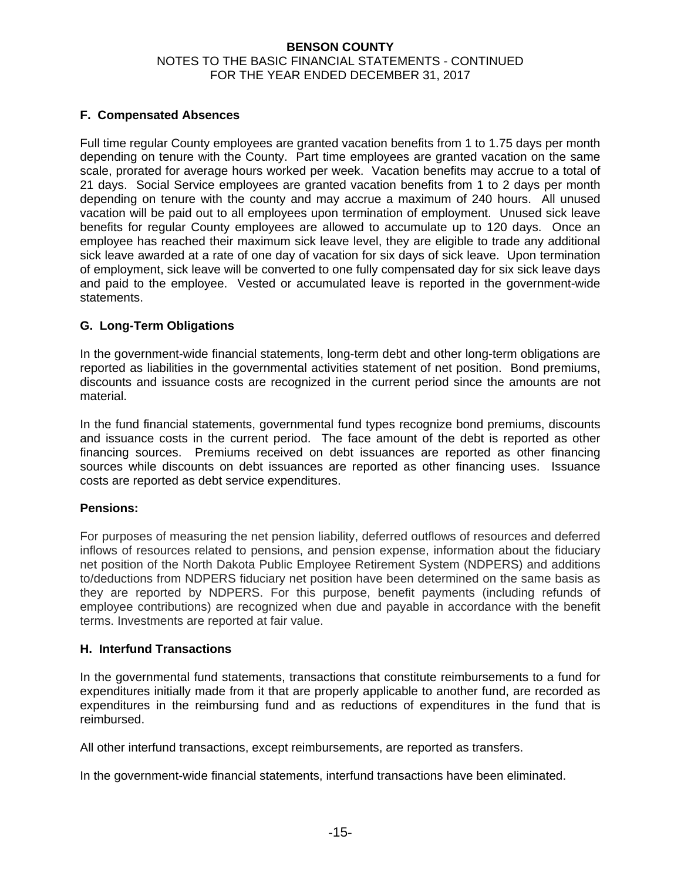## **F. Compensated Absences**

Full time regular County employees are granted vacation benefits from 1 to 1.75 days per month depending on tenure with the County. Part time employees are granted vacation on the same scale, prorated for average hours worked per week. Vacation benefits may accrue to a total of 21 days. Social Service employees are granted vacation benefits from 1 to 2 days per month depending on tenure with the county and may accrue a maximum of 240 hours. All unused vacation will be paid out to all employees upon termination of employment. Unused sick leave benefits for regular County employees are allowed to accumulate up to 120 days. Once an employee has reached their maximum sick leave level, they are eligible to trade any additional sick leave awarded at a rate of one day of vacation for six days of sick leave. Upon termination of employment, sick leave will be converted to one fully compensated day for six sick leave days and paid to the employee. Vested or accumulated leave is reported in the government-wide statements.

# **G. Long-Term Obligations**

In the government-wide financial statements, long-term debt and other long-term obligations are reported as liabilities in the governmental activities statement of net position. Bond premiums, discounts and issuance costs are recognized in the current period since the amounts are not material.

In the fund financial statements, governmental fund types recognize bond premiums, discounts and issuance costs in the current period. The face amount of the debt is reported as other financing sources. Premiums received on debt issuances are reported as other financing sources while discounts on debt issuances are reported as other financing uses. Issuance costs are reported as debt service expenditures.

#### **Pensions:**

For purposes of measuring the net pension liability, deferred outflows of resources and deferred inflows of resources related to pensions, and pension expense, information about the fiduciary net position of the North Dakota Public Employee Retirement System (NDPERS) and additions to/deductions from NDPERS fiduciary net position have been determined on the same basis as they are reported by NDPERS. For this purpose, benefit payments (including refunds of employee contributions) are recognized when due and payable in accordance with the benefit terms. Investments are reported at fair value.

#### **H. Interfund Transactions**

In the governmental fund statements, transactions that constitute reimbursements to a fund for expenditures initially made from it that are properly applicable to another fund, are recorded as expenditures in the reimbursing fund and as reductions of expenditures in the fund that is reimbursed.

All other interfund transactions, except reimbursements, are reported as transfers.

In the government-wide financial statements, interfund transactions have been eliminated.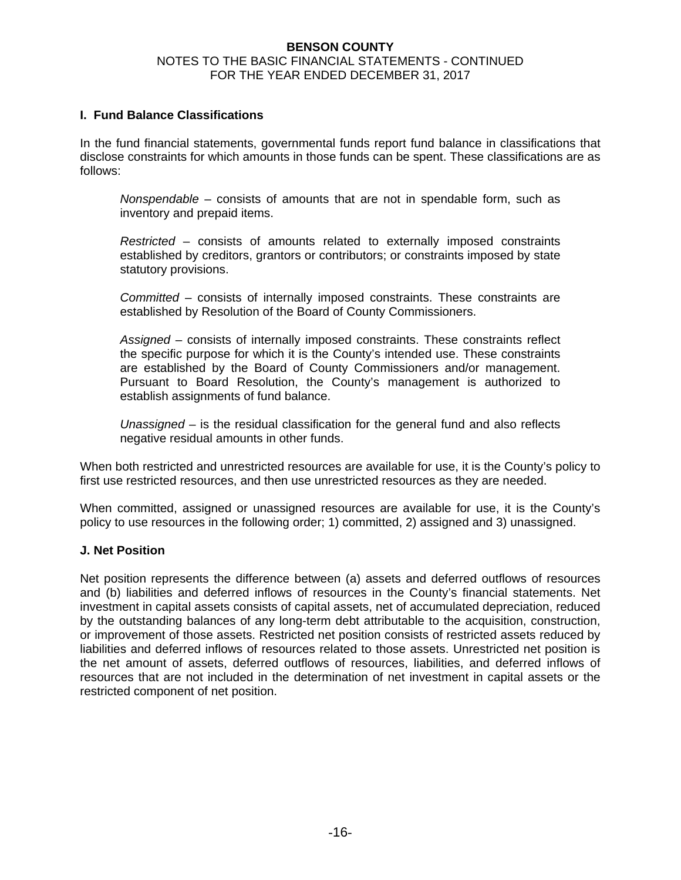# **I. Fund Balance Classifications**

In the fund financial statements, governmental funds report fund balance in classifications that disclose constraints for which amounts in those funds can be spent. These classifications are as follows:

*Nonspendable* – consists of amounts that are not in spendable form, such as inventory and prepaid items.

*Restricted* – consists of amounts related to externally imposed constraints established by creditors, grantors or contributors; or constraints imposed by state statutory provisions.

*Committed* – consists of internally imposed constraints. These constraints are established by Resolution of the Board of County Commissioners.

*Assigned* – consists of internally imposed constraints. These constraints reflect the specific purpose for which it is the County's intended use. These constraints are established by the Board of County Commissioners and/or management. Pursuant to Board Resolution, the County's management is authorized to establish assignments of fund balance.

*Unassigned* – is the residual classification for the general fund and also reflects negative residual amounts in other funds.

When both restricted and unrestricted resources are available for use, it is the County's policy to first use restricted resources, and then use unrestricted resources as they are needed.

When committed, assigned or unassigned resources are available for use, it is the County's policy to use resources in the following order; 1) committed, 2) assigned and 3) unassigned.

#### **J. Net Position**

Net position represents the difference between (a) assets and deferred outflows of resources and (b) liabilities and deferred inflows of resources in the County's financial statements. Net investment in capital assets consists of capital assets, net of accumulated depreciation, reduced by the outstanding balances of any long-term debt attributable to the acquisition, construction, or improvement of those assets. Restricted net position consists of restricted assets reduced by liabilities and deferred inflows of resources related to those assets. Unrestricted net position is the net amount of assets, deferred outflows of resources, liabilities, and deferred inflows of resources that are not included in the determination of net investment in capital assets or the restricted component of net position.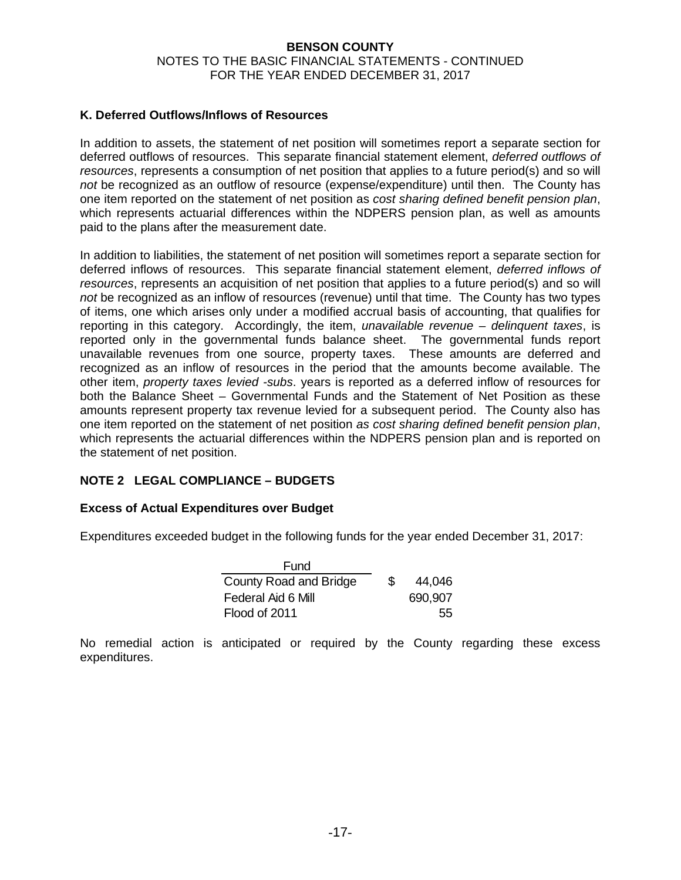# **K. Deferred Outflows/Inflows of Resources**

In addition to assets, the statement of net position will sometimes report a separate section for deferred outflows of resources. This separate financial statement element, *deferred outflows of resources*, represents a consumption of net position that applies to a future period(s) and so will *not* be recognized as an outflow of resource (expense/expenditure) until then. The County has one item reported on the statement of net position as *cost sharing defined benefit pension plan*, which represents actuarial differences within the NDPERS pension plan, as well as amounts paid to the plans after the measurement date.

In addition to liabilities, the statement of net position will sometimes report a separate section for deferred inflows of resources. This separate financial statement element, *deferred inflows of resources*, represents an acquisition of net position that applies to a future period(s) and so will *not* be recognized as an inflow of resources (revenue) until that time. The County has two types of items, one which arises only under a modified accrual basis of accounting, that qualifies for reporting in this category. Accordingly, the item, *unavailable revenue – delinquent taxes*, is reported only in the governmental funds balance sheet. The governmental funds report unavailable revenues from one source, property taxes. These amounts are deferred and recognized as an inflow of resources in the period that the amounts become available. The other item, *property taxes levied -subs*. years is reported as a deferred inflow of resources for both the Balance Sheet – Governmental Funds and the Statement of Net Position as these amounts represent property tax revenue levied for a subsequent period. The County also has one item reported on the statement of net position *as cost sharing defined benefit pension plan*, which represents the actuarial differences within the NDPERS pension plan and is reported on the statement of net position.

# **NOTE 2 LEGAL COMPLIANCE – BUDGETS**

#### **Excess of Actual Expenditures over Budget**

Expenditures exceeded budget in the following funds for the year ended December 31, 2017:

| Fund                          |     |         |
|-------------------------------|-----|---------|
| <b>County Road and Bridge</b> | \$. | 44,046  |
| Federal Aid 6 Mill            |     | 690,907 |
| Flood of 2011                 |     | 55      |

No remedial action is anticipated or required by the County regarding these excess expenditures.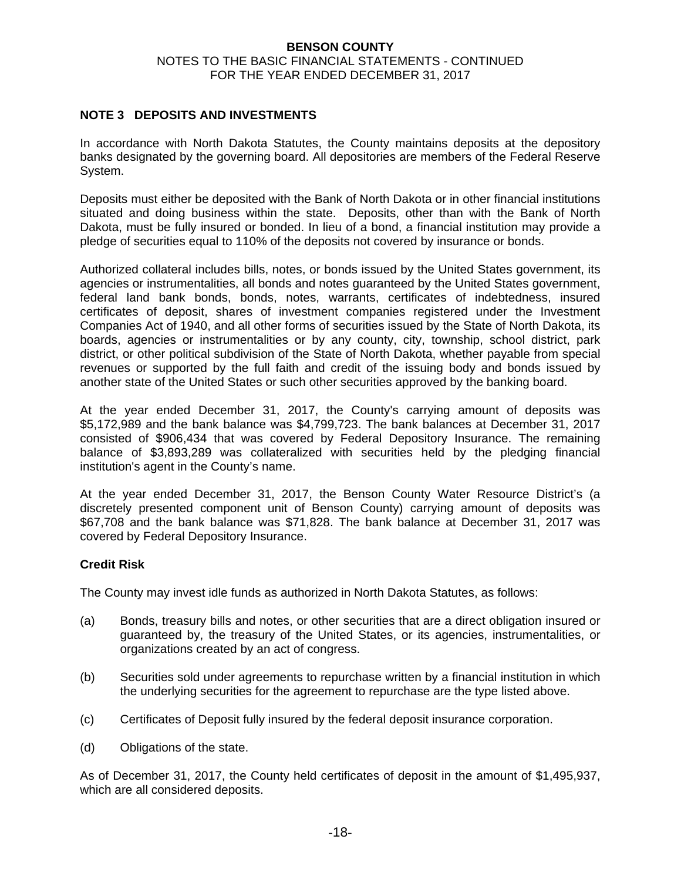# **NOTE 3 DEPOSITS AND INVESTMENTS**

In accordance with North Dakota Statutes, the County maintains deposits at the depository banks designated by the governing board. All depositories are members of the Federal Reserve System.

Deposits must either be deposited with the Bank of North Dakota or in other financial institutions situated and doing business within the state. Deposits, other than with the Bank of North Dakota, must be fully insured or bonded. In lieu of a bond, a financial institution may provide a pledge of securities equal to 110% of the deposits not covered by insurance or bonds.

Authorized collateral includes bills, notes, or bonds issued by the United States government, its agencies or instrumentalities, all bonds and notes guaranteed by the United States government, federal land bank bonds, bonds, notes, warrants, certificates of indebtedness, insured certificates of deposit, shares of investment companies registered under the Investment Companies Act of 1940, and all other forms of securities issued by the State of North Dakota, its boards, agencies or instrumentalities or by any county, city, township, school district, park district, or other political subdivision of the State of North Dakota, whether payable from special revenues or supported by the full faith and credit of the issuing body and bonds issued by another state of the United States or such other securities approved by the banking board.

At the year ended December 31, 2017, the County's carrying amount of deposits was \$5,172,989 and the bank balance was \$4,799,723. The bank balances at December 31, 2017 consisted of \$906,434 that was covered by Federal Depository Insurance. The remaining balance of \$3,893,289 was collateralized with securities held by the pledging financial institution's agent in the County's name.

At the year ended December 31, 2017, the Benson County Water Resource District's (a discretely presented component unit of Benson County) carrying amount of deposits was \$67,708 and the bank balance was \$71,828. The bank balance at December 31, 2017 was covered by Federal Depository Insurance.

#### **Credit Risk**

The County may invest idle funds as authorized in North Dakota Statutes, as follows:

- (a) Bonds, treasury bills and notes, or other securities that are a direct obligation insured or guaranteed by, the treasury of the United States, or its agencies, instrumentalities, or organizations created by an act of congress.
- (b) Securities sold under agreements to repurchase written by a financial institution in which the underlying securities for the agreement to repurchase are the type listed above.
- (c) Certificates of Deposit fully insured by the federal deposit insurance corporation.
- (d) Obligations of the state.

As of December 31, 2017, the County held certificates of deposit in the amount of \$1,495,937, which are all considered deposits.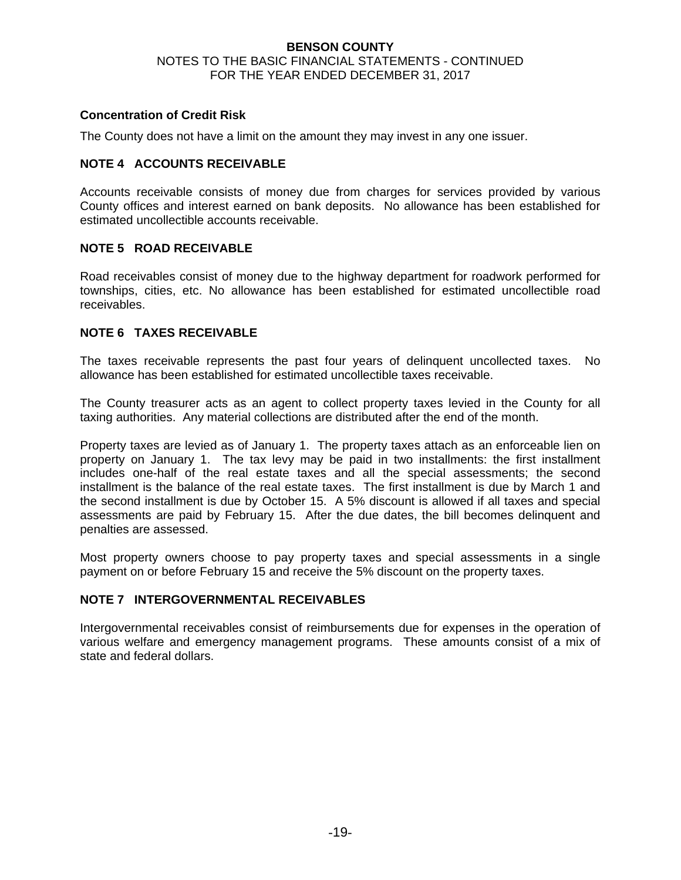# **Concentration of Credit Risk**

The County does not have a limit on the amount they may invest in any one issuer.

# **NOTE 4 ACCOUNTS RECEIVABLE**

Accounts receivable consists of money due from charges for services provided by various County offices and interest earned on bank deposits. No allowance has been established for estimated uncollectible accounts receivable.

# **NOTE 5 ROAD RECEIVABLE**

Road receivables consist of money due to the highway department for roadwork performed for townships, cities, etc. No allowance has been established for estimated uncollectible road receivables.

# **NOTE 6 TAXES RECEIVABLE**

The taxes receivable represents the past four years of delinquent uncollected taxes. No allowance has been established for estimated uncollectible taxes receivable.

The County treasurer acts as an agent to collect property taxes levied in the County for all taxing authorities. Any material collections are distributed after the end of the month.

Property taxes are levied as of January 1. The property taxes attach as an enforceable lien on property on January 1. The tax levy may be paid in two installments: the first installment includes one-half of the real estate taxes and all the special assessments; the second installment is the balance of the real estate taxes. The first installment is due by March 1 and the second installment is due by October 15. A 5% discount is allowed if all taxes and special assessments are paid by February 15. After the due dates, the bill becomes delinquent and penalties are assessed.

Most property owners choose to pay property taxes and special assessments in a single payment on or before February 15 and receive the 5% discount on the property taxes.

# **NOTE 7 INTERGOVERNMENTAL RECEIVABLES**

Intergovernmental receivables consist of reimbursements due for expenses in the operation of various welfare and emergency management programs. These amounts consist of a mix of state and federal dollars.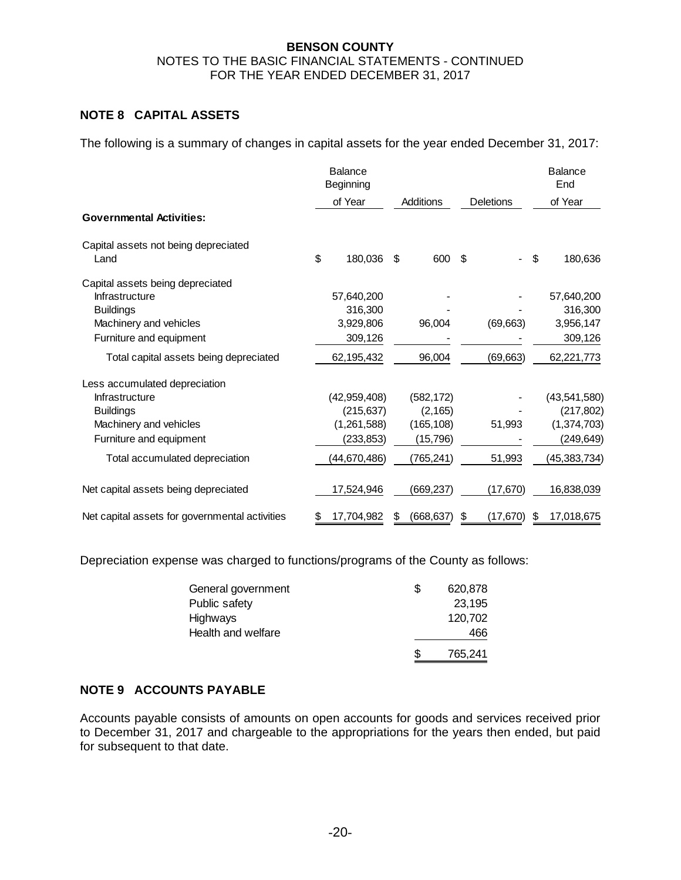# **NOTE 8 CAPITAL ASSETS**

The following is a summary of changes in capital assets for the year ended December 31, 2017:

|                                                | <b>Balance</b><br>Beginning |                 |                  | <b>Balance</b><br>End |
|------------------------------------------------|-----------------------------|-----------------|------------------|-----------------------|
|                                                | of Year                     | Additions       | <b>Deletions</b> | of Year               |
| <b>Governmental Activities:</b>                |                             |                 |                  |                       |
| Capital assets not being depreciated           |                             |                 |                  |                       |
| Land                                           | \$<br>180,036               | \$<br>600 \$    |                  | \$<br>180,636         |
| Capital assets being depreciated               |                             |                 |                  |                       |
| Infrastructure                                 | 57,640,200                  |                 |                  | 57,640,200            |
| <b>Buildings</b>                               | 316,300                     |                 |                  | 316,300               |
| Machinery and vehicles                         | 3,929,806                   | 96,004          | (69, 663)        | 3,956,147             |
| Furniture and equipment                        | 309,126                     |                 |                  | 309,126               |
| Total capital assets being depreciated         | 62,195,432                  | 96,004          | (69, 663)        | 62,221,773            |
| Less accumulated depreciation                  |                             |                 |                  |                       |
| Infrastructure                                 | (42, 959, 408)              | (582, 172)      |                  | (43,541,580)          |
| <b>Buildings</b>                               | (215, 637)                  | (2, 165)        |                  | (217, 802)            |
| Machinery and vehicles                         | (1, 261, 588)               | (165, 108)      | 51,993           | (1, 374, 703)         |
| Furniture and equipment                        | (233,853)                   | (15, 796)       |                  | (249, 649)            |
| Total accumulated depreciation                 | (44,670,486)                | (765,241)       | 51,993           | (45,383,734)          |
| Net capital assets being depreciated           | 17,524,946                  | (669,237)       | (17,670)         | 16,838,039            |
| Net capital assets for governmental activities | 17,704,982                  | \$<br>(668,637) | (17, 670)<br>\$  | \$<br>17,018,675      |

Depreciation expense was charged to functions/programs of the County as follows:

| General government | S | 620,878 |
|--------------------|---|---------|
| Public safety      |   | 23,195  |
| Highways           |   | 120,702 |
| Health and welfare |   | 466     |
|                    |   | 765,241 |

# **NOTE 9 ACCOUNTS PAYABLE**

Accounts payable consists of amounts on open accounts for goods and services received prior to December 31, 2017 and chargeable to the appropriations for the years then ended, but paid for subsequent to that date.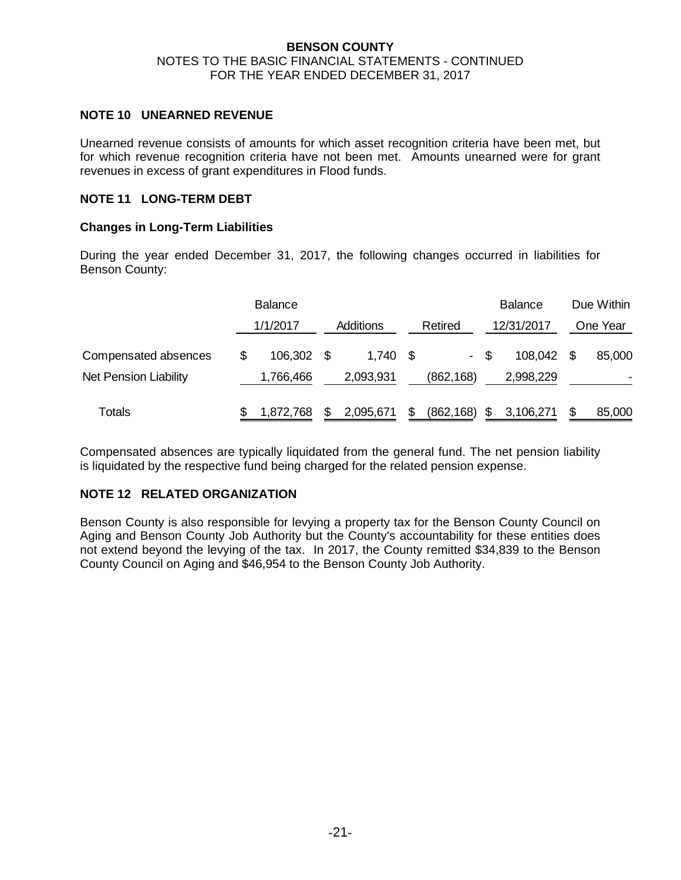# **NOTE 10 UNEARNED REVENUE**

Unearned revenue consists of amounts for which asset recognition criteria have been met, but for which revenue recognition criteria have not been met. Amounts unearned were for grant revenues in excess of grant expenditures in Flood funds.

# **NOTE 11 LONG-TERM DEBT**

#### **Changes in Long-Term Liabilities**

During the year ended December 31, 2017, the following changes occurred in liabilities for Benson County:

|                       |   | <b>Balance</b> |     |                  |      |            |    | <b>Balance</b> |      | Due Within |
|-----------------------|---|----------------|-----|------------------|------|------------|----|----------------|------|------------|
|                       |   | 1/1/2017       |     | <b>Additions</b> |      | Retired    |    | 12/31/2017     |      | One Year   |
| Compensated absences  | S | 106,302        | \$. | 1.740            | - \$ | $\sim$     | -S | 108,042        | - \$ | 85,000     |
| Net Pension Liability |   | 1,766,466      |     | 2,093,931        |      | (862, 168) |    | 2,998,229      |      |            |
| Totals                |   | 1,872,768      | \$  | 2,095,671        | \$   | (862, 168) | \$ | 3,106,271      | \$   | 85,000     |

Compensated absences are typically liquidated from the general fund. The net pension liability is liquidated by the respective fund being charged for the related pension expense.

# **NOTE 12 RELATED ORGANIZATION**

Benson County is also responsible for levying a property tax for the Benson County Council on Aging and Benson County Job Authority but the County's accountability for these entities does not extend beyond the levying of the tax. In 2017, the County remitted \$34,839 to the Benson County Council on Aging and \$46,954 to the Benson County Job Authority.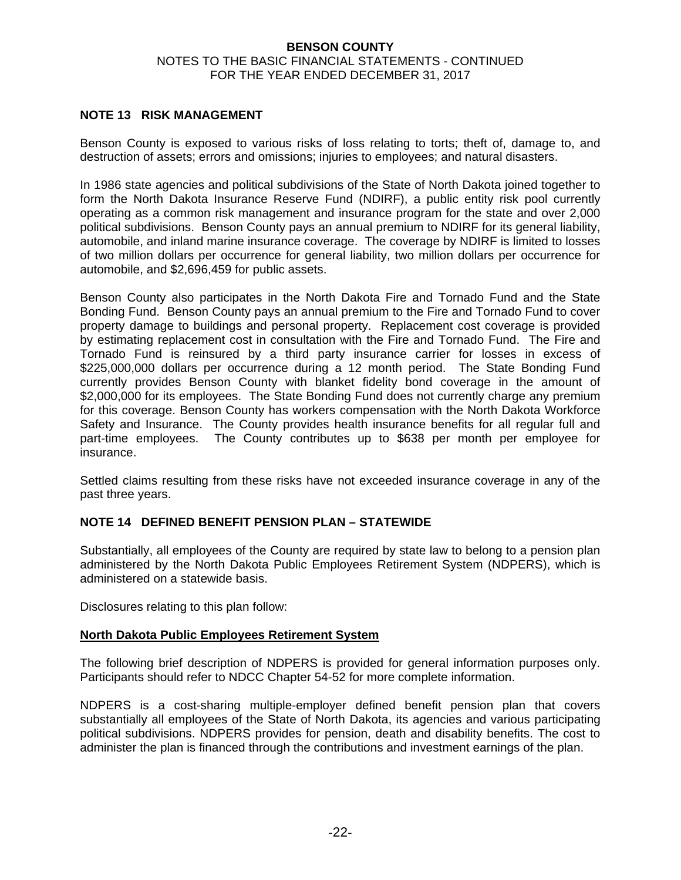# **NOTE 13 RISK MANAGEMENT**

Benson County is exposed to various risks of loss relating to torts; theft of, damage to, and destruction of assets; errors and omissions; injuries to employees; and natural disasters.

In 1986 state agencies and political subdivisions of the State of North Dakota joined together to form the North Dakota Insurance Reserve Fund (NDIRF), a public entity risk pool currently operating as a common risk management and insurance program for the state and over 2,000 political subdivisions. Benson County pays an annual premium to NDIRF for its general liability, automobile, and inland marine insurance coverage. The coverage by NDIRF is limited to losses of two million dollars per occurrence for general liability, two million dollars per occurrence for automobile, and \$2,696,459 for public assets.

Benson County also participates in the North Dakota Fire and Tornado Fund and the State Bonding Fund. Benson County pays an annual premium to the Fire and Tornado Fund to cover property damage to buildings and personal property. Replacement cost coverage is provided by estimating replacement cost in consultation with the Fire and Tornado Fund. The Fire and Tornado Fund is reinsured by a third party insurance carrier for losses in excess of \$225,000,000 dollars per occurrence during a 12 month period. The State Bonding Fund currently provides Benson County with blanket fidelity bond coverage in the amount of \$2,000,000 for its employees. The State Bonding Fund does not currently charge any premium for this coverage. Benson County has workers compensation with the North Dakota Workforce Safety and Insurance. The County provides health insurance benefits for all regular full and part-time employees. The County contributes up to \$638 per month per employee for insurance.

Settled claims resulting from these risks have not exceeded insurance coverage in any of the past three years.

# **NOTE 14 DEFINED BENEFIT PENSION PLAN – STATEWIDE**

Substantially, all employees of the County are required by state law to belong to a pension plan administered by the North Dakota Public Employees Retirement System (NDPERS), which is administered on a statewide basis.

Disclosures relating to this plan follow:

#### **North Dakota Public Employees Retirement System**

The following brief description of NDPERS is provided for general information purposes only. Participants should refer to NDCC Chapter 54-52 for more complete information.

NDPERS is a cost-sharing multiple-employer defined benefit pension plan that covers substantially all employees of the State of North Dakota, its agencies and various participating political subdivisions. NDPERS provides for pension, death and disability benefits. The cost to administer the plan is financed through the contributions and investment earnings of the plan.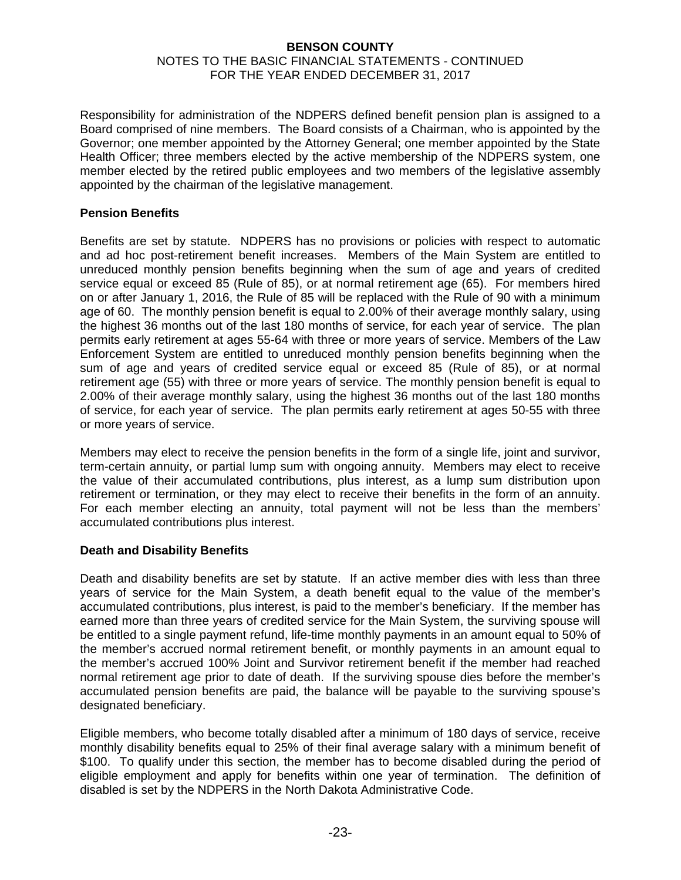Responsibility for administration of the NDPERS defined benefit pension plan is assigned to a Board comprised of nine members. The Board consists of a Chairman, who is appointed by the Governor; one member appointed by the Attorney General; one member appointed by the State Health Officer; three members elected by the active membership of the NDPERS system, one member elected by the retired public employees and two members of the legislative assembly appointed by the chairman of the legislative management.

# **Pension Benefits**

Benefits are set by statute. NDPERS has no provisions or policies with respect to automatic and ad hoc post-retirement benefit increases. Members of the Main System are entitled to unreduced monthly pension benefits beginning when the sum of age and years of credited service equal or exceed 85 (Rule of 85), or at normal retirement age (65). For members hired on or after January 1, 2016, the Rule of 85 will be replaced with the Rule of 90 with a minimum age of 60. The monthly pension benefit is equal to 2.00% of their average monthly salary, using the highest 36 months out of the last 180 months of service, for each year of service. The plan permits early retirement at ages 55-64 with three or more years of service. Members of the Law Enforcement System are entitled to unreduced monthly pension benefits beginning when the sum of age and years of credited service equal or exceed 85 (Rule of 85), or at normal retirement age (55) with three or more years of service. The monthly pension benefit is equal to 2.00% of their average monthly salary, using the highest 36 months out of the last 180 months of service, for each year of service. The plan permits early retirement at ages 50-55 with three or more years of service.

Members may elect to receive the pension benefits in the form of a single life, joint and survivor, term-certain annuity, or partial lump sum with ongoing annuity. Members may elect to receive the value of their accumulated contributions, plus interest, as a lump sum distribution upon retirement or termination, or they may elect to receive their benefits in the form of an annuity. For each member electing an annuity, total payment will not be less than the members' accumulated contributions plus interest.

# **Death and Disability Benefits**

Death and disability benefits are set by statute. If an active member dies with less than three years of service for the Main System, a death benefit equal to the value of the member's accumulated contributions, plus interest, is paid to the member's beneficiary. If the member has earned more than three years of credited service for the Main System, the surviving spouse will be entitled to a single payment refund, life-time monthly payments in an amount equal to 50% of the member's accrued normal retirement benefit, or monthly payments in an amount equal to the member's accrued 100% Joint and Survivor retirement benefit if the member had reached normal retirement age prior to date of death. If the surviving spouse dies before the member's accumulated pension benefits are paid, the balance will be payable to the surviving spouse's designated beneficiary.

Eligible members, who become totally disabled after a minimum of 180 days of service, receive monthly disability benefits equal to 25% of their final average salary with a minimum benefit of \$100. To qualify under this section, the member has to become disabled during the period of eligible employment and apply for benefits within one year of termination. The definition of disabled is set by the NDPERS in the North Dakota Administrative Code.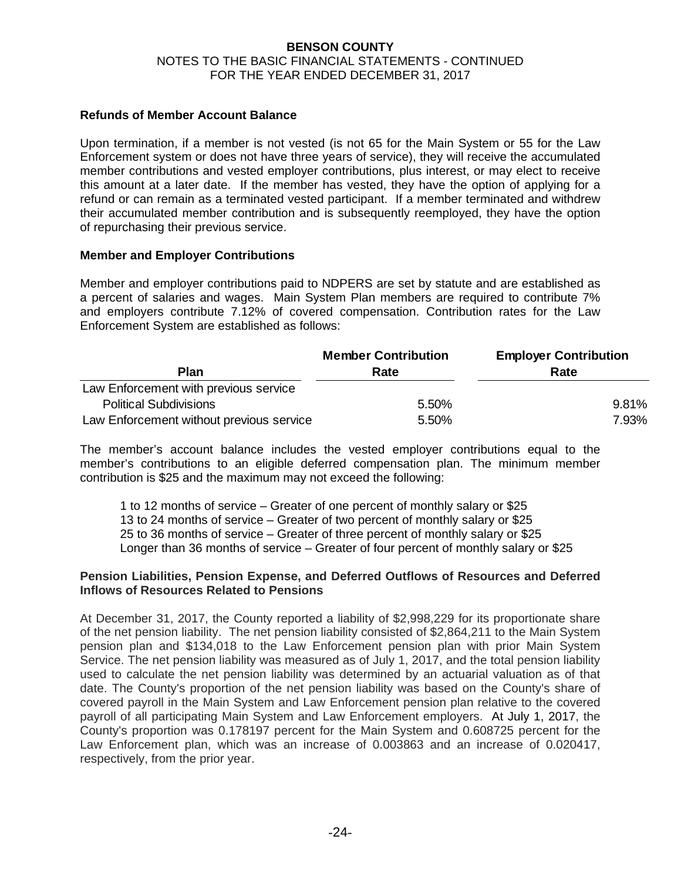# **Refunds of Member Account Balance**

Upon termination, if a member is not vested (is not 65 for the Main System or 55 for the Law Enforcement system or does not have three years of service), they will receive the accumulated member contributions and vested employer contributions, plus interest, or may elect to receive this amount at a later date. If the member has vested, they have the option of applying for a refund or can remain as a terminated vested participant. If a member terminated and withdrew their accumulated member contribution and is subsequently reemployed, they have the option of repurchasing their previous service.

#### **Member and Employer Contributions**

Member and employer contributions paid to NDPERS are set by statute and are established as a percent of salaries and wages. Main System Plan members are required to contribute 7% and employers contribute 7.12% of covered compensation. Contribution rates for the Law Enforcement System are established as follows:

|                                          | <b>Member Contribution</b> | <b>Employer Contribution</b> |
|------------------------------------------|----------------------------|------------------------------|
| <b>Plan</b>                              | Rate                       | Rate                         |
| Law Enforcement with previous service    |                            |                              |
| <b>Political Subdivisions</b>            | 5.50%                      | $9.81\%$                     |
| Law Enforcement without previous service | 5.50%                      | 7.93%                        |

The member's account balance includes the vested employer contributions equal to the member's contributions to an eligible deferred compensation plan. The minimum member contribution is \$25 and the maximum may not exceed the following:

 1 to 12 months of service – Greater of one percent of monthly salary or \$25 13 to 24 months of service – Greater of two percent of monthly salary or \$25 25 to 36 months of service – Greater of three percent of monthly salary or \$25 Longer than 36 months of service – Greater of four percent of monthly salary or \$25

## **Pension Liabilities, Pension Expense, and Deferred Outflows of Resources and Deferred Inflows of Resources Related to Pensions**

At December 31, 2017, the County reported a liability of \$2,998,229 for its proportionate share of the net pension liability. The net pension liability consisted of \$2,864,211 to the Main System pension plan and \$134,018 to the Law Enforcement pension plan with prior Main System Service. The net pension liability was measured as of July 1, 2017, and the total pension liability used to calculate the net pension liability was determined by an actuarial valuation as of that date. The County's proportion of the net pension liability was based on the County's share of covered payroll in the Main System and Law Enforcement pension plan relative to the covered payroll of all participating Main System and Law Enforcement employers. At July 1, 2017, the County's proportion was 0.178197 percent for the Main System and 0.608725 percent for the Law Enforcement plan, which was an increase of 0.003863 and an increase of 0.020417, respectively, from the prior year.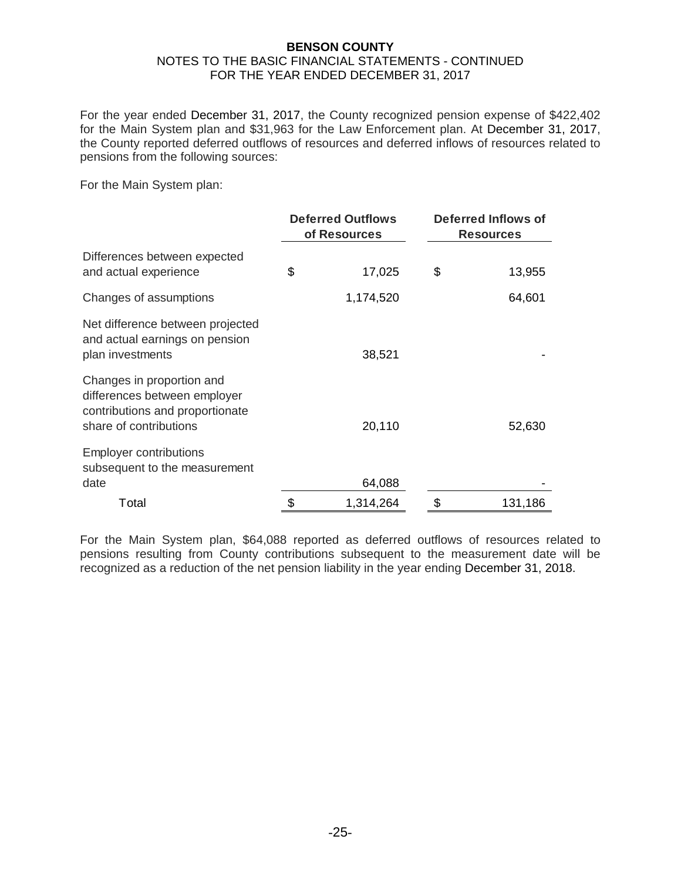For the year ended December 31, 2017, the County recognized pension expense of \$422,402 for the Main System plan and \$31,963 for the Law Enforcement plan. At December 31, 2017, the County reported deferred outflows of resources and deferred inflows of resources related to pensions from the following sources:

For the Main System plan:

|                                                                                                                        | <b>Deferred Outflows</b><br>of Resources |           | Deferred Inflows of<br><b>Resources</b> |
|------------------------------------------------------------------------------------------------------------------------|------------------------------------------|-----------|-----------------------------------------|
| Differences between expected<br>and actual experience                                                                  | \$                                       | 17,025    | \$<br>13,955                            |
| Changes of assumptions                                                                                                 |                                          | 1,174,520 | 64,601                                  |
| Net difference between projected<br>and actual earnings on pension<br>plan investments                                 |                                          | 38,521    |                                         |
| Changes in proportion and<br>differences between employer<br>contributions and proportionate<br>share of contributions |                                          | 20,110    | 52,630                                  |
| <b>Employer contributions</b><br>subsequent to the measurement<br>date                                                 |                                          | 64,088    |                                         |
| Total                                                                                                                  | \$                                       | 1,314,264 | \$<br>131,186                           |

For the Main System plan, \$64,088 reported as deferred outflows of resources related to pensions resulting from County contributions subsequent to the measurement date will be recognized as a reduction of the net pension liability in the year ending December 31, 2018.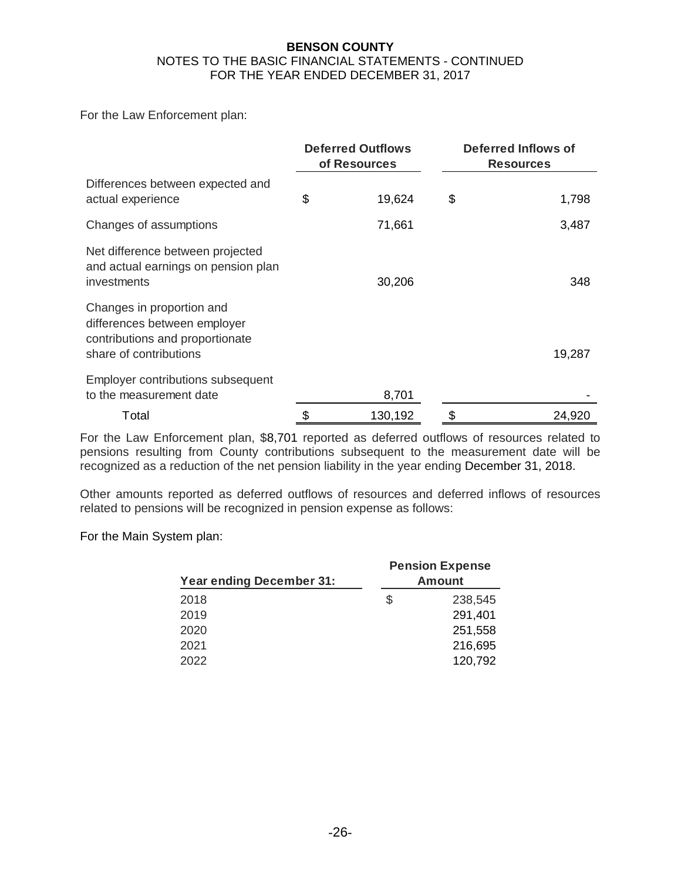For the Law Enforcement plan:

|                                                                                                                        | <b>Deferred Outflows</b><br>of Resources |         | <b>Deferred Inflows of</b><br><b>Resources</b> |
|------------------------------------------------------------------------------------------------------------------------|------------------------------------------|---------|------------------------------------------------|
| Differences between expected and<br>actual experience                                                                  | \$                                       | 19,624  | \$<br>1,798                                    |
| Changes of assumptions                                                                                                 |                                          | 71,661  | 3,487                                          |
| Net difference between projected<br>and actual earnings on pension plan<br>investments                                 |                                          | 30,206  | 348                                            |
| Changes in proportion and<br>differences between employer<br>contributions and proportionate<br>share of contributions |                                          |         | 19,287                                         |
| Employer contributions subsequent<br>to the measurement date                                                           |                                          | 8,701   |                                                |
| Total                                                                                                                  | \$                                       | 130,192 | \$<br>24,920                                   |

For the Law Enforcement plan, \$8,701 reported as deferred outflows of resources related to pensions resulting from County contributions subsequent to the measurement date will be recognized as a reduction of the net pension liability in the year ending December 31, 2018.

Other amounts reported as deferred outflows of resources and deferred inflows of resources related to pensions will be recognized in pension expense as follows:

For the Main System plan:

| <b>Year ending December 31:</b> |   | <b>Pension Expense</b><br><b>Amount</b> |
|---------------------------------|---|-----------------------------------------|
| 2018                            | S | 238,545                                 |
| 2019                            |   | 291,401                                 |
| 2020                            |   | 251,558                                 |
| 2021                            |   | 216,695                                 |
| 2022                            |   | 120,792                                 |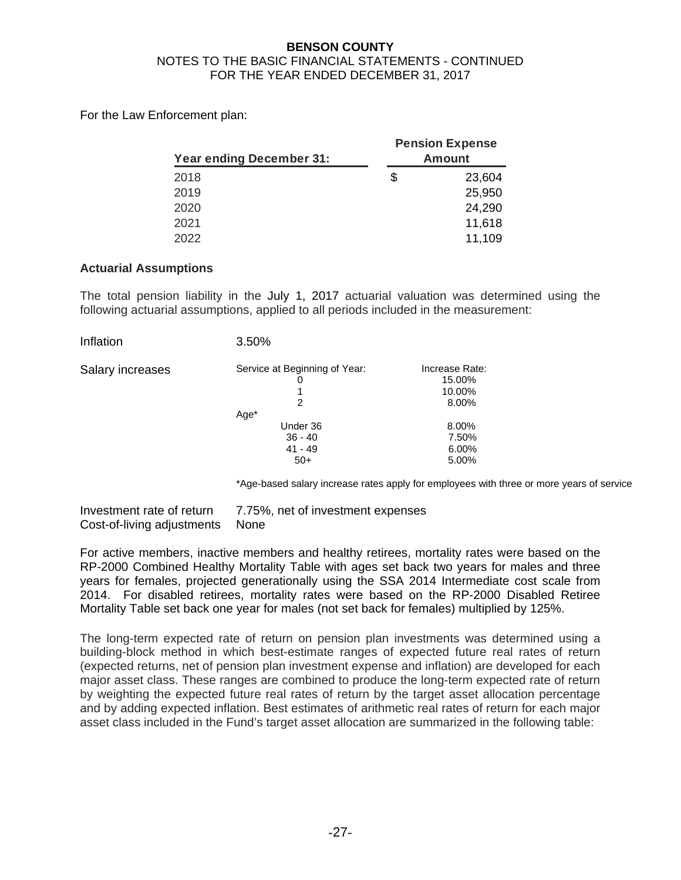For the Law Enforcement plan:

| <b>Year ending December 31:</b> |   | <b>Pension Expense</b><br><b>Amount</b> |
|---------------------------------|---|-----------------------------------------|
| 2018                            | S | 23,604                                  |
| 2019                            |   | 25,950                                  |
| 2020                            |   | 24,290                                  |
| 2021                            |   | 11,618                                  |
| 2022                            |   | 11,109                                  |

# **Actuarial Assumptions**

The total pension liability in the July 1, 2017 actuarial valuation was determined using the following actuarial assumptions, applied to all periods included in the measurement:

| Inflation        | 3.50%                                                                                               |                                                                                 |
|------------------|-----------------------------------------------------------------------------------------------------|---------------------------------------------------------------------------------|
| Salary increases | Service at Beginning of Year:<br>0<br>1<br>2<br>Age*<br>Under 36<br>$36 - 40$<br>$41 - 49$<br>$50+$ | Increase Rate:<br>15.00%<br>10.00%<br>8.00%<br>8.00%<br>7.50%<br>6.00%<br>5.00% |
|                  |                                                                                                     |                                                                                 |

\*Age-based salary increase rates apply for employees with three or more years of service

Investment rate of return 7.75%, net of investment expenses Cost-of-living adjustments None

For active members, inactive members and healthy retirees, mortality rates were based on the RP-2000 Combined Healthy Mortality Table with ages set back two years for males and three years for females, projected generationally using the SSA 2014 Intermediate cost scale from 2014. For disabled retirees, mortality rates were based on the RP-2000 Disabled Retiree Mortality Table set back one year for males (not set back for females) multiplied by 125%.

The long-term expected rate of return on pension plan investments was determined using a building-block method in which best-estimate ranges of expected future real rates of return (expected returns, net of pension plan investment expense and inflation) are developed for each major asset class. These ranges are combined to produce the long-term expected rate of return by weighting the expected future real rates of return by the target asset allocation percentage and by adding expected inflation. Best estimates of arithmetic real rates of return for each major asset class included in the Fund's target asset allocation are summarized in the following table: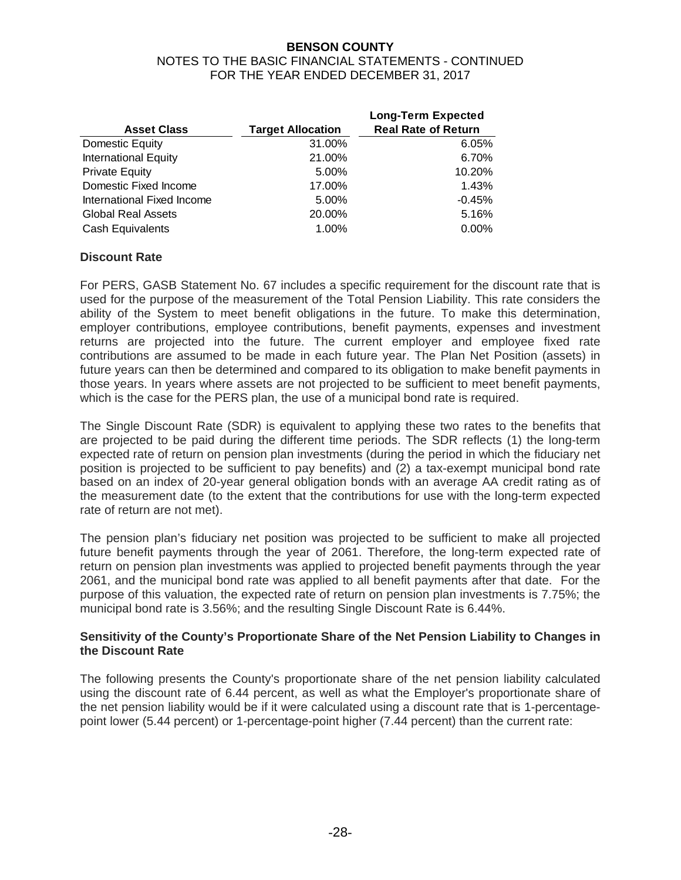|                             |                          | <b>Long-Term Expected</b>  |
|-----------------------------|--------------------------|----------------------------|
| <b>Asset Class</b>          | <b>Target Allocation</b> | <b>Real Rate of Return</b> |
| Domestic Equity             | 31.00%                   | 6.05%                      |
| <b>International Equity</b> | 21.00%                   | 6.70%                      |
| <b>Private Equity</b>       | 5.00%                    | 10.20%                     |
| Domestic Fixed Income       | 17.00%                   | 1.43%                      |
| International Fixed Income  | 5.00%                    | $-0.45%$                   |
| <b>Global Real Assets</b>   | 20.00%                   | 5.16%                      |
| <b>Cash Equivalents</b>     | 1.00%                    | 0.00%                      |

# **Discount Rate**

For PERS, GASB Statement No. 67 includes a specific requirement for the discount rate that is used for the purpose of the measurement of the Total Pension Liability. This rate considers the ability of the System to meet benefit obligations in the future. To make this determination, employer contributions, employee contributions, benefit payments, expenses and investment returns are projected into the future. The current employer and employee fixed rate contributions are assumed to be made in each future year. The Plan Net Position (assets) in future years can then be determined and compared to its obligation to make benefit payments in those years. In years where assets are not projected to be sufficient to meet benefit payments, which is the case for the PERS plan, the use of a municipal bond rate is required.

The Single Discount Rate (SDR) is equivalent to applying these two rates to the benefits that are projected to be paid during the different time periods. The SDR reflects (1) the long-term expected rate of return on pension plan investments (during the period in which the fiduciary net position is projected to be sufficient to pay benefits) and (2) a tax-exempt municipal bond rate based on an index of 20-year general obligation bonds with an average AA credit rating as of the measurement date (to the extent that the contributions for use with the long-term expected rate of return are not met).

The pension plan's fiduciary net position was projected to be sufficient to make all projected future benefit payments through the year of 2061. Therefore, the long-term expected rate of return on pension plan investments was applied to projected benefit payments through the year 2061, and the municipal bond rate was applied to all benefit payments after that date. For the purpose of this valuation, the expected rate of return on pension plan investments is 7.75%; the municipal bond rate is 3.56%; and the resulting Single Discount Rate is 6.44%.

# **Sensitivity of the County's Proportionate Share of the Net Pension Liability to Changes in the Discount Rate**

The following presents the County's proportionate share of the net pension liability calculated using the discount rate of 6.44 percent, as well as what the Employer's proportionate share of the net pension liability would be if it were calculated using a discount rate that is 1-percentagepoint lower (5.44 percent) or 1-percentage-point higher (7.44 percent) than the current rate: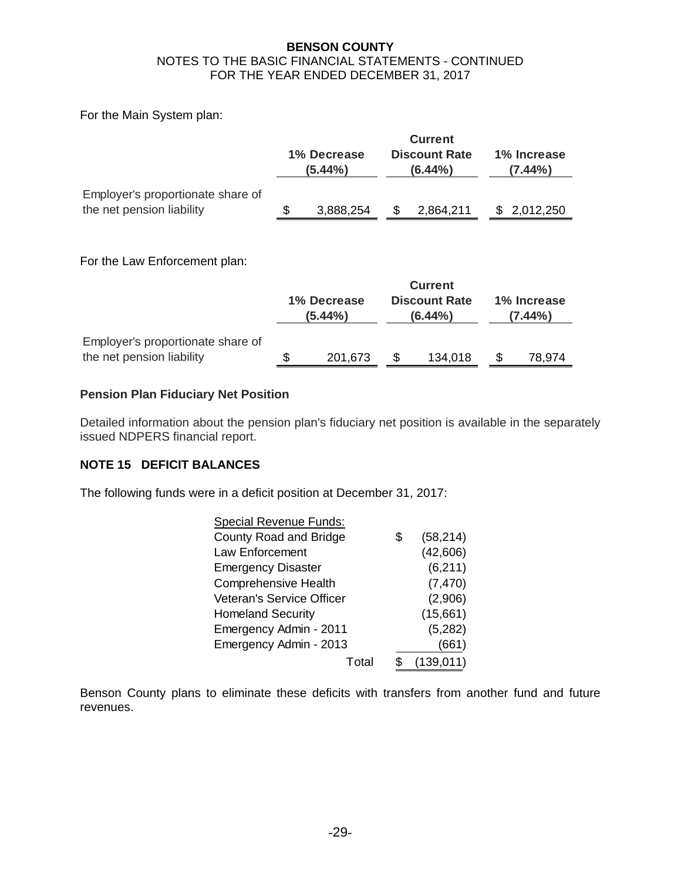For the Main System plan:

|                                                                |                        |           |                                    | <b>Current</b> |                           |             |
|----------------------------------------------------------------|------------------------|-----------|------------------------------------|----------------|---------------------------|-------------|
|                                                                | 1% Decrease<br>(5.44%) |           | <b>Discount Rate</b><br>$(6.44\%)$ |                | 1% Increase<br>$(7.44\%)$ |             |
| Employer's proportionate share of<br>the net pension liability |                        | 3,888,254 |                                    | 2,864,211      |                           | \$2,012,250 |

For the Law Enforcement plan:

|                                                                | <b>Current</b>            |         |                                    |         |                        |        |
|----------------------------------------------------------------|---------------------------|---------|------------------------------------|---------|------------------------|--------|
|                                                                | 1% Decrease<br>$(5.44\%)$ |         | <b>Discount Rate</b><br>$(6.44\%)$ |         | 1% Increase<br>(7.44%) |        |
| Employer's proportionate share of<br>the net pension liability |                           | 201,673 |                                    | 134,018 |                        | 78.974 |

# **Pension Plan Fiduciary Net Position**

Detailed information about the pension plan's fiduciary net position is available in the separately issued NDPERS financial report.

# **NOTE 15 DEFICIT BALANCES**

The following funds were in a deficit position at December 31, 2017:

| <b>Special Revenue Funds:</b>    |   |            |
|----------------------------------|---|------------|
| <b>County Road and Bridge</b>    | S | (58, 214)  |
| Law Enforcement                  |   | (42,606)   |
| <b>Emergency Disaster</b>        |   | (6, 211)   |
| <b>Comprehensive Health</b>      |   | (7, 470)   |
| <b>Veteran's Service Officer</b> |   | (2,906)    |
| <b>Homeland Security</b>         |   | (15,661)   |
| Emergency Admin - 2011           |   | (5,282)    |
| Emergency Admin - 2013           |   | (661)      |
| Total                            |   | (139, 011) |

Benson County plans to eliminate these deficits with transfers from another fund and future revenues.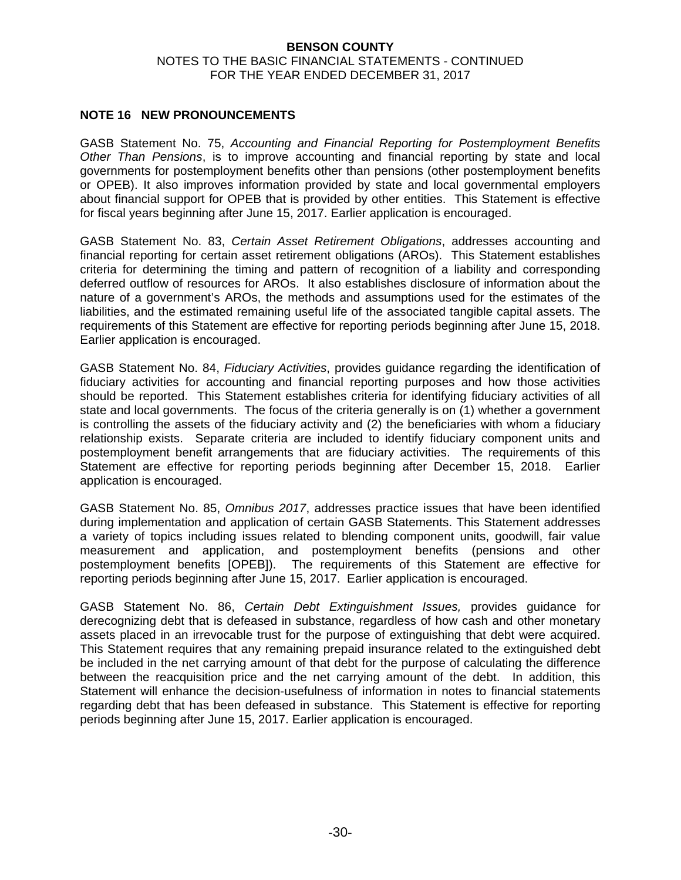# **NOTE 16 NEW PRONOUNCEMENTS**

GASB Statement No. 75, *Accounting and Financial Reporting for Postemployment Benefits Other Than Pensions*, is to improve accounting and financial reporting by state and local governments for postemployment benefits other than pensions (other postemployment benefits or OPEB). It also improves information provided by state and local governmental employers about financial support for OPEB that is provided by other entities. This Statement is effective for fiscal years beginning after June 15, 2017. Earlier application is encouraged.

GASB Statement No. 83, *Certain Asset Retirement Obligations*, addresses accounting and financial reporting for certain asset retirement obligations (AROs). This Statement establishes criteria for determining the timing and pattern of recognition of a liability and corresponding deferred outflow of resources for AROs. It also establishes disclosure of information about the nature of a government's AROs, the methods and assumptions used for the estimates of the liabilities, and the estimated remaining useful life of the associated tangible capital assets. The requirements of this Statement are effective for reporting periods beginning after June 15, 2018. Earlier application is encouraged.

GASB Statement No. 84, *Fiduciary Activities*, provides guidance regarding the identification of fiduciary activities for accounting and financial reporting purposes and how those activities should be reported. This Statement establishes criteria for identifying fiduciary activities of all state and local governments. The focus of the criteria generally is on (1) whether a government is controlling the assets of the fiduciary activity and (2) the beneficiaries with whom a fiduciary relationship exists. Separate criteria are included to identify fiduciary component units and postemployment benefit arrangements that are fiduciary activities. The requirements of this Statement are effective for reporting periods beginning after December 15, 2018. Earlier application is encouraged.

GASB Statement No. 85, *Omnibus 2017*, addresses practice issues that have been identified during implementation and application of certain GASB Statements. This Statement addresses a variety of topics including issues related to blending component units, goodwill, fair value measurement and application, and postemployment benefits (pensions and other postemployment benefits [OPEB]). The requirements of this Statement are effective for reporting periods beginning after June 15, 2017. Earlier application is encouraged.

GASB Statement No. 86, *Certain Debt Extinguishment Issues,* provides guidance for derecognizing debt that is defeased in substance, regardless of how cash and other monetary assets placed in an irrevocable trust for the purpose of extinguishing that debt were acquired. This Statement requires that any remaining prepaid insurance related to the extinguished debt be included in the net carrying amount of that debt for the purpose of calculating the difference between the reacquisition price and the net carrying amount of the debt. In addition, this Statement will enhance the decision-usefulness of information in notes to financial statements regarding debt that has been defeased in substance. This Statement is effective for reporting periods beginning after June 15, 2017. Earlier application is encouraged.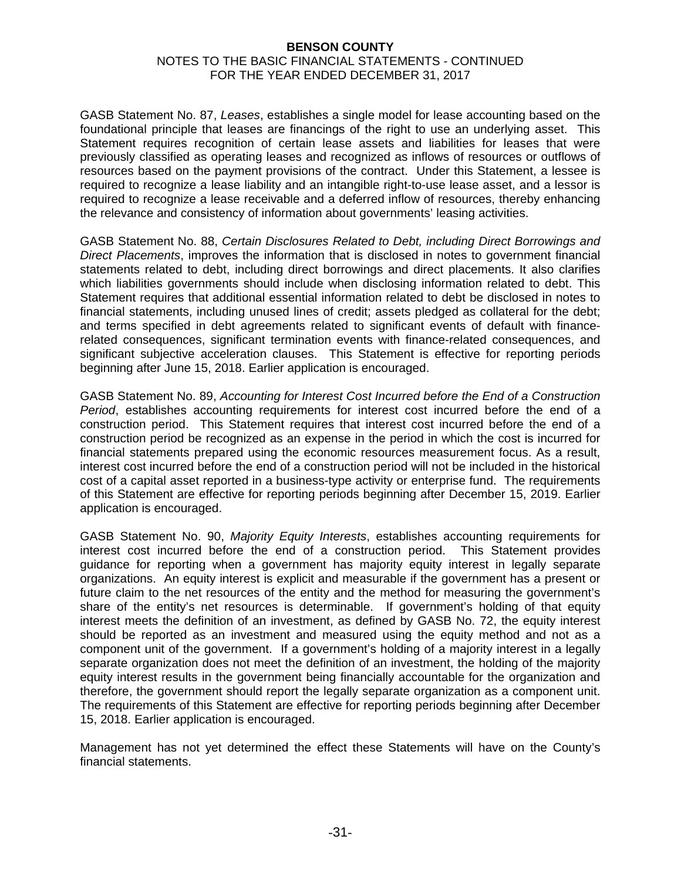GASB Statement No. 87, *Leases*, establishes a single model for lease accounting based on the foundational principle that leases are financings of the right to use an underlying asset. This Statement requires recognition of certain lease assets and liabilities for leases that were previously classified as operating leases and recognized as inflows of resources or outflows of resources based on the payment provisions of the contract. Under this Statement, a lessee is required to recognize a lease liability and an intangible right-to-use lease asset, and a lessor is required to recognize a lease receivable and a deferred inflow of resources, thereby enhancing the relevance and consistency of information about governments' leasing activities.

GASB Statement No. 88, *Certain Disclosures Related to Debt, including Direct Borrowings and Direct Placements*, improves the information that is disclosed in notes to government financial statements related to debt, including direct borrowings and direct placements. It also clarifies which liabilities governments should include when disclosing information related to debt. This Statement requires that additional essential information related to debt be disclosed in notes to financial statements, including unused lines of credit; assets pledged as collateral for the debt; and terms specified in debt agreements related to significant events of default with financerelated consequences, significant termination events with finance-related consequences, and significant subjective acceleration clauses. This Statement is effective for reporting periods beginning after June 15, 2018. Earlier application is encouraged.

GASB Statement No. 89, *Accounting for Interest Cost Incurred before the End of a Construction Period*, establishes accounting requirements for interest cost incurred before the end of a construction period. This Statement requires that interest cost incurred before the end of a construction period be recognized as an expense in the period in which the cost is incurred for financial statements prepared using the economic resources measurement focus. As a result, interest cost incurred before the end of a construction period will not be included in the historical cost of a capital asset reported in a business-type activity or enterprise fund. The requirements of this Statement are effective for reporting periods beginning after December 15, 2019. Earlier application is encouraged.

GASB Statement No. 90, *Majority Equity Interests*, establishes accounting requirements for interest cost incurred before the end of a construction period. This Statement provides guidance for reporting when a government has majority equity interest in legally separate organizations. An equity interest is explicit and measurable if the government has a present or future claim to the net resources of the entity and the method for measuring the government's share of the entity's net resources is determinable. If government's holding of that equity interest meets the definition of an investment, as defined by GASB No. 72, the equity interest should be reported as an investment and measured using the equity method and not as a component unit of the government. If a government's holding of a majority interest in a legally separate organization does not meet the definition of an investment, the holding of the majority equity interest results in the government being financially accountable for the organization and therefore, the government should report the legally separate organization as a component unit. The requirements of this Statement are effective for reporting periods beginning after December 15, 2018. Earlier application is encouraged.

Management has not yet determined the effect these Statements will have on the County's financial statements.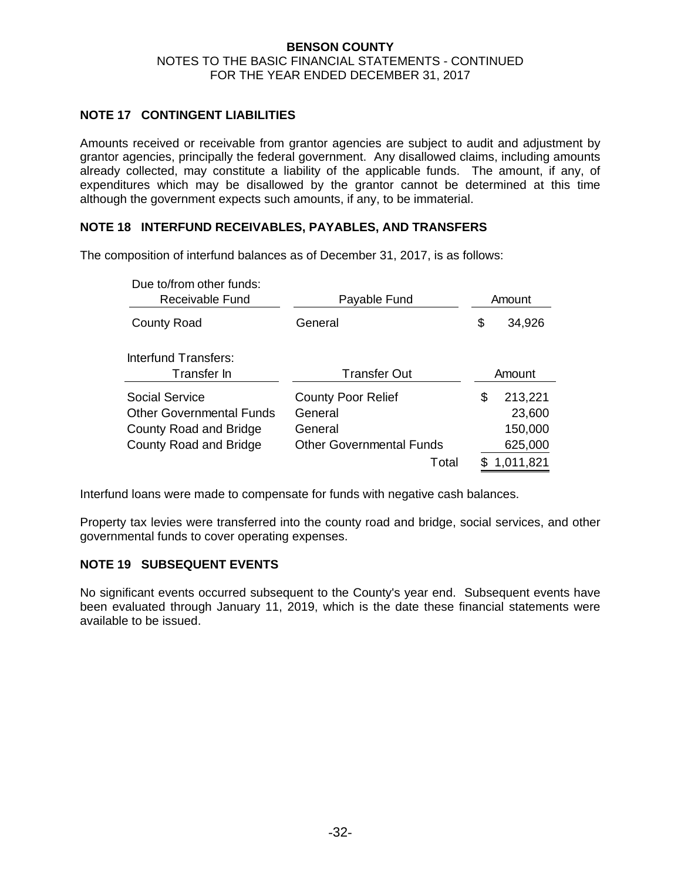# **NOTE 17 CONTINGENT LIABILITIES**

Amounts received or receivable from grantor agencies are subject to audit and adjustment by grantor agencies, principally the federal government. Any disallowed claims, including amounts already collected, may constitute a liability of the applicable funds. The amount, if any, of expenditures which may be disallowed by the grantor cannot be determined at this time although the government expects such amounts, if any, to be immaterial.

# **NOTE 18 INTERFUND RECEIVABLES, PAYABLES, AND TRANSFERS**

The composition of interfund balances as of December 31, 2017, is as follows:

| Due to/from other funds:<br>Receivable Fund                                                                  | Payable Fund                                                                       |    | Amount                                  |  |  |  |
|--------------------------------------------------------------------------------------------------------------|------------------------------------------------------------------------------------|----|-----------------------------------------|--|--|--|
| <b>County Road</b>                                                                                           | General                                                                            | \$ | 34,926                                  |  |  |  |
| Interfund Transfers:<br>Transfer In                                                                          | <b>Transfer Out</b>                                                                |    | Amount                                  |  |  |  |
| <b>Social Service</b><br><b>Other Governmental Funds</b><br>County Road and Bridge<br>County Road and Bridge | <b>County Poor Relief</b><br>General<br>General<br><b>Other Governmental Funds</b> | S  | 213,221<br>23,600<br>150,000<br>625,000 |  |  |  |
|                                                                                                              | Total                                                                              |    | 1,011,821                               |  |  |  |

Interfund loans were made to compensate for funds with negative cash balances.

Property tax levies were transferred into the county road and bridge, social services, and other governmental funds to cover operating expenses.

# **NOTE 19 SUBSEQUENT EVENTS**

No significant events occurred subsequent to the County's year end. Subsequent events have been evaluated through January 11, 2019, which is the date these financial statements were available to be issued.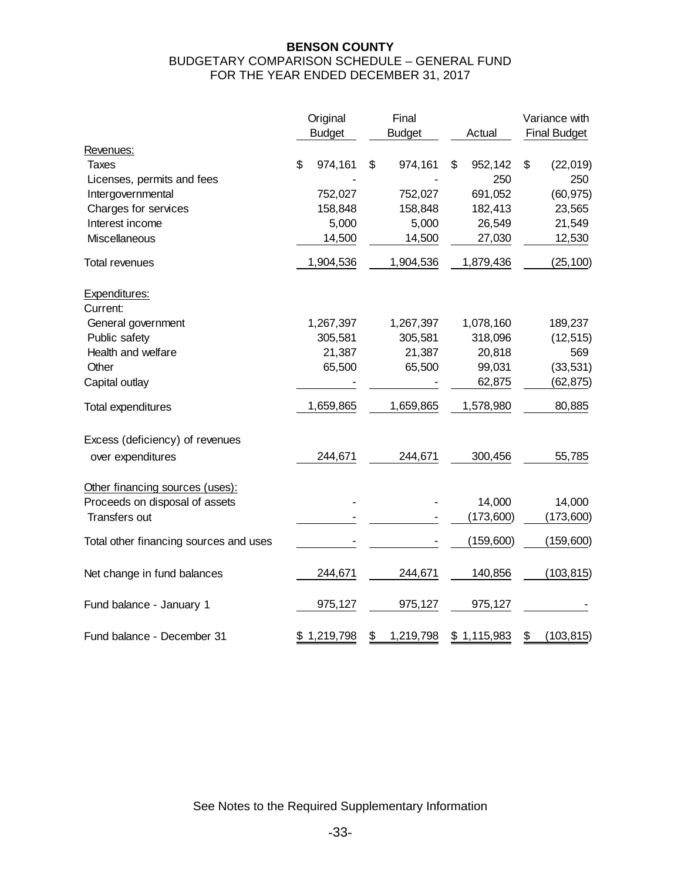# **BENSON COUNTY**  BUDGETARY COMPARISON SCHEDULE – GENERAL FUND FOR THE YEAR ENDED DECEMBER 31, 2017

|                                        | Original |               | Final<br><b>Budget</b> |           |    | Actual      | Variance with<br><b>Final Budget</b> |            |
|----------------------------------------|----------|---------------|------------------------|-----------|----|-------------|--------------------------------------|------------|
|                                        |          | <b>Budget</b> |                        |           |    |             |                                      |            |
| Revenues:<br><b>Taxes</b>              | \$       | 974,161       | \$                     | 974,161   | \$ | 952,142     | \$                                   | (22, 019)  |
| Licenses, permits and fees             |          |               |                        |           |    | 250         |                                      | 250        |
| Intergovernmental                      |          | 752,027       |                        | 752,027   |    | 691,052     |                                      | (60, 975)  |
| Charges for services                   |          | 158,848       |                        | 158,848   |    | 182,413     |                                      | 23,565     |
| Interest income                        |          | 5,000         |                        | 5,000     |    | 26,549      |                                      | 21,549     |
|                                        |          | 14,500        |                        | 14,500    |    |             |                                      |            |
| Miscellaneous                          |          |               |                        |           |    | 27,030      |                                      | 12,530     |
| <b>Total revenues</b>                  |          | 1,904,536     |                        | 1,904,536 |    | 1,879,436   |                                      | (25, 100)  |
| Expenditures:<br>Current:              |          |               |                        |           |    |             |                                      |            |
| General government                     |          | 1,267,397     |                        | 1,267,397 |    | 1,078,160   |                                      | 189,237    |
| Public safety                          |          | 305,581       |                        | 305,581   |    | 318,096     |                                      | (12, 515)  |
| Health and welfare                     |          | 21,387        |                        | 21,387    |    | 20,818      |                                      | 569        |
| Other                                  |          | 65,500        |                        | 65,500    |    | 99,031      |                                      | (33, 531)  |
| Capital outlay                         |          |               |                        |           |    | 62,875      |                                      | (62, 875)  |
| Total expenditures                     |          | 1,659,865     |                        | 1,659,865 |    | 1,578,980   |                                      | 80,885     |
| Excess (deficiency) of revenues        |          |               |                        |           |    |             |                                      |            |
| over expenditures                      |          | 244,671       |                        | 244,671   |    | 300,456     |                                      | 55,785     |
| Other financing sources (uses):        |          |               |                        |           |    |             |                                      |            |
| Proceeds on disposal of assets         |          |               |                        |           |    | 14,000      |                                      | 14,000     |
| <b>Transfers out</b>                   |          |               |                        |           |    | (173,600)   |                                      | (173,600)  |
| Total other financing sources and uses |          |               |                        |           |    | (159, 600)  |                                      | (159, 600) |
| Net change in fund balances            |          | 244,671       |                        | 244,671   |    | 140,856     |                                      | (103, 815) |
| Fund balance - January 1               |          | 975,127       |                        | 975,127   |    | 975,127     |                                      |            |
| Fund balance - December 31             | \$       | 1,219,798     | \$                     | 1,219,798 |    | \$1,115,983 | \$                                   | (103, 815) |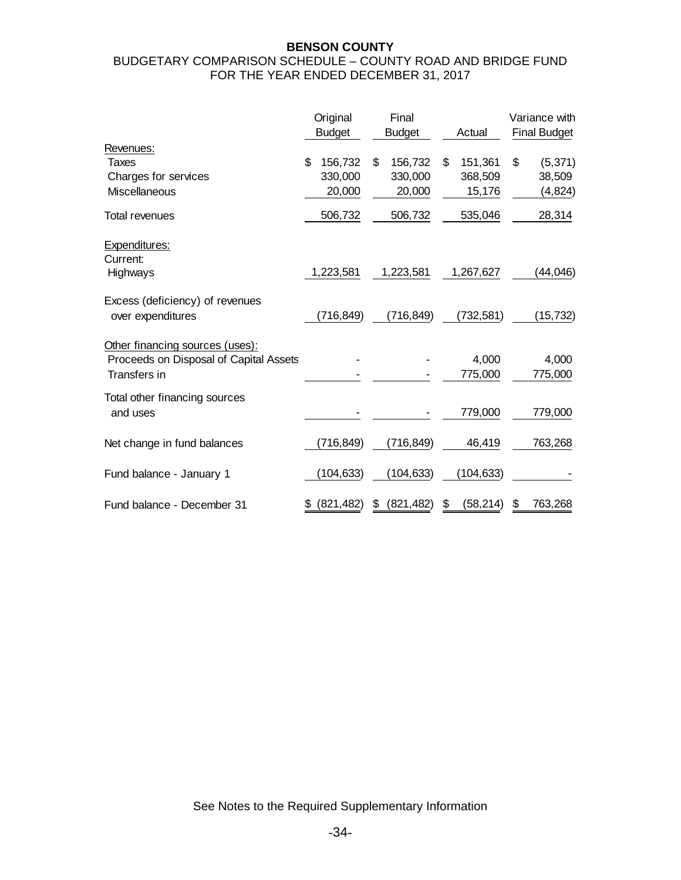# **BENSON COUNTY**

# BUDGETARY COMPARISON SCHEDULE – COUNTY ROAD AND BRIDGE FUND FOR THE YEAR ENDED DECEMBER 31, 2017

|                                        | Original<br><b>Budget</b> | Final<br><b>Budget</b> | Actual          | Variance with<br><b>Final Budget</b> |
|----------------------------------------|---------------------------|------------------------|-----------------|--------------------------------------|
| Revenues:                              |                           |                        |                 |                                      |
| Taxes                                  | \$<br>156,732             | 156,732<br>\$          | 151,361<br>\$   | \$<br>(5, 371)                       |
| Charges for services                   | 330,000                   | 330,000                | 368,509         | 38,509                               |
| <b>Miscellaneous</b>                   | 20,000                    | 20,000                 | 15,176          | (4, 824)                             |
|                                        |                           |                        |                 |                                      |
| <b>Total revenues</b>                  | 506,732                   | 506,732                | 535,046         | 28,314                               |
| Expenditures:                          |                           |                        |                 |                                      |
| Current:                               |                           |                        |                 |                                      |
| Highways                               | 1,223,581                 | 1,223,581              | 1,267,627       | (44,046)                             |
| Excess (deficiency) of revenues        |                           |                        |                 |                                      |
| over expenditures                      | 716,849)                  | (716, 849)             | (732, 581)      | (15, 732)                            |
| Other financing sources (uses):        |                           |                        |                 |                                      |
| Proceeds on Disposal of Capital Assets |                           |                        | 4,000           | 4,000                                |
| Transfers in                           |                           |                        | 775,000         | 775,000                              |
| Total other financing sources          |                           |                        |                 |                                      |
| and uses                               |                           |                        | 779,000         | 779,000                              |
|                                        |                           |                        |                 |                                      |
| Net change in fund balances            | (716,849)                 | (716,849)              | 46,419          | 763,268                              |
|                                        | (104, 633)                | (104, 633)             |                 |                                      |
| Fund balance - January 1               |                           |                        | (104, 633)      |                                      |
| Fund balance - December 31             | (821, 482)<br>\$          | (821, 482)<br>\$       | \$<br>(58, 214) | 763,268<br>\$                        |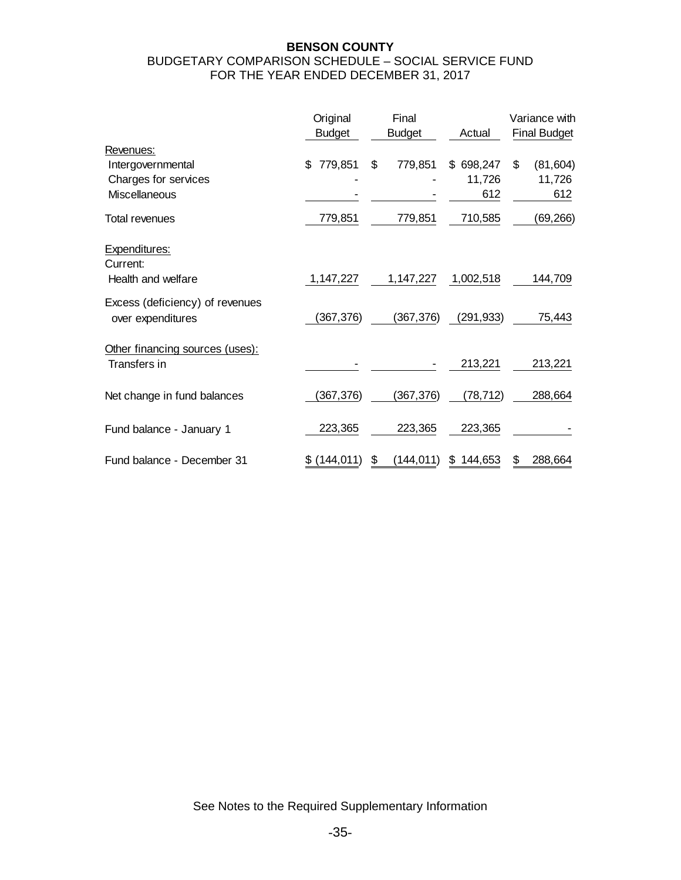# **BENSON COUNTY**  BUDGETARY COMPARISON SCHEDULE – SOCIAL SERVICE FUND FOR THE YEAR ENDED DECEMBER 31, 2017

|                                                      | Original<br><b>Budget</b> | Final<br><b>Budget</b> | Actual         | Variance with<br><b>Final Budget</b> |
|------------------------------------------------------|---------------------------|------------------------|----------------|--------------------------------------|
| Revenues:                                            |                           |                        |                |                                      |
| Intergovernmental                                    | \$<br>779,851             | \$<br>779,851          | 698,247<br>\$. | \$<br>(81, 604)                      |
| Charges for services                                 |                           |                        | 11,726         | 11,726                               |
| Miscellaneous                                        |                           |                        | 612            | 612                                  |
| <b>Total revenues</b>                                | 779,851                   | 779,851                | 710,585        | (69, 266)                            |
| Expenditures:<br>Current:                            |                           |                        |                |                                      |
| Health and welfare                                   | 1,147,227                 | 1,147,227              | 1,002,518      | 144,709                              |
| Excess (deficiency) of revenues<br>over expenditures | (367, 376)                | (367, 376)             | (291,933)      | 75,443                               |
| Other financing sources (uses):<br>Transfers in      |                           |                        | 213,221        | 213,221                              |
| Net change in fund balances                          | (367, 376)                | (367, 376)             | (78,712)       | 288,664                              |
| Fund balance - January 1                             | 223,365                   | 223,365                | 223,365        |                                      |
| Fund balance - December 31                           | (144, 011)<br>\$          | (144,011)<br>\$        | 144,653<br>\$  | 288,664                              |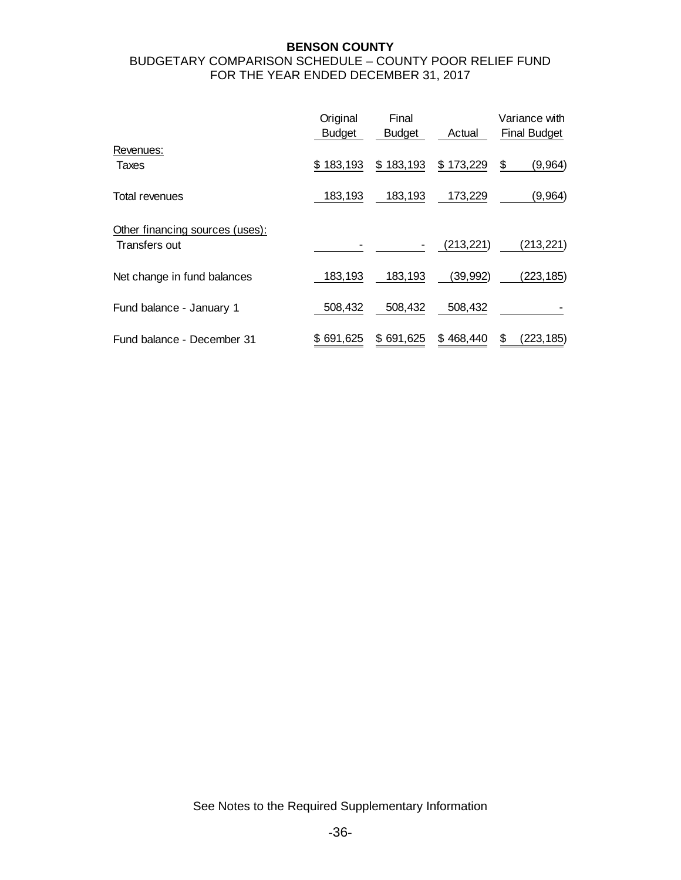# **BENSON COUNTY**  BUDGETARY COMPARISON SCHEDULE – COUNTY POOR RELIEF FUND FOR THE YEAR ENDED DECEMBER 31, 2017

|                                                  | Original<br><b>Budget</b> | Final<br><b>Budget</b> | Actual    | Variance with<br><b>Final Budget</b> |
|--------------------------------------------------|---------------------------|------------------------|-----------|--------------------------------------|
| Revenues:<br>Taxes                               | \$183,193                 | \$183,193              | \$173,229 | \$<br>(9,964)                        |
| Total revenues                                   | 183,193                   | 183,193                | 173,229   | (9,964)                              |
| Other financing sources (uses):<br>Transfers out |                           |                        | (213,221) | (213, 221)                           |
| Net change in fund balances                      | 183,193                   | 183,193                | (39, 992) | (223, 185)                           |
| Fund balance - January 1                         | 508,432                   | 508,432                | 508,432   |                                      |
| Fund balance - December 31                       | 691,625<br>S.             | \$691,625              | \$468,440 | \$<br>(223, 185)                     |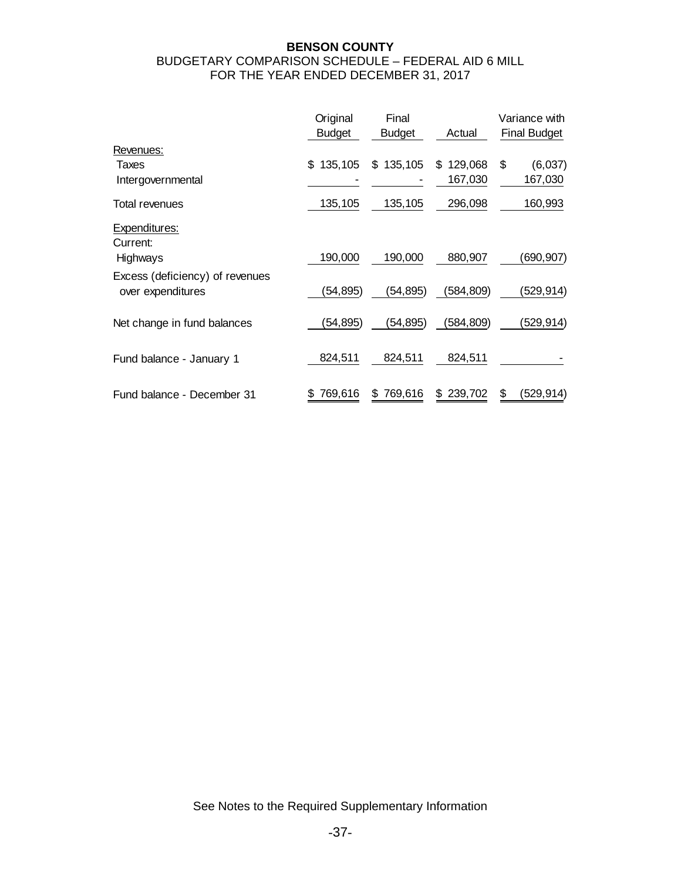# **BENSON COUNTY**  BUDGETARY COMPARISON SCHEDULE – FEDERAL AID 6 MILL FOR THE YEAR ENDED DECEMBER 31, 2017

|                                  | Original<br><b>Budget</b> | Final<br><b>Budget</b> | Actual        | Variance with<br><b>Final Budget</b> |
|----------------------------------|---------------------------|------------------------|---------------|--------------------------------------|
| Revenues:                        |                           |                        |               |                                      |
| Taxes                            | 135,105<br>\$             | \$135,105              | \$<br>129,068 | \$<br>(6,037)                        |
| Intergovernmental                |                           |                        | 167,030       | 167,030                              |
| Total revenues                   | 135,105                   | 135,105                | 296,098       | 160,993                              |
| <b>Expenditures:</b><br>Current: |                           |                        |               |                                      |
| Highways                         | 190,000                   | 190,000                | 880,907       | (690, 907)                           |
| Excess (deficiency) of revenues  |                           |                        |               |                                      |
| over expenditures                | (54, 895)                 | (54, 895)              | (584, 809)    | (529,914)                            |
| Net change in fund balances      | (54, 895)                 | (54, 895)              | (584, 809)    | (529, 914)                           |
| Fund balance - January 1         | 824,511                   | 824,511                | 824,511       |                                      |
| Fund balance - December 31       | 769,616<br>\$             | 769,616<br>S           | 239,702<br>\$ | \$<br>(529,914)                      |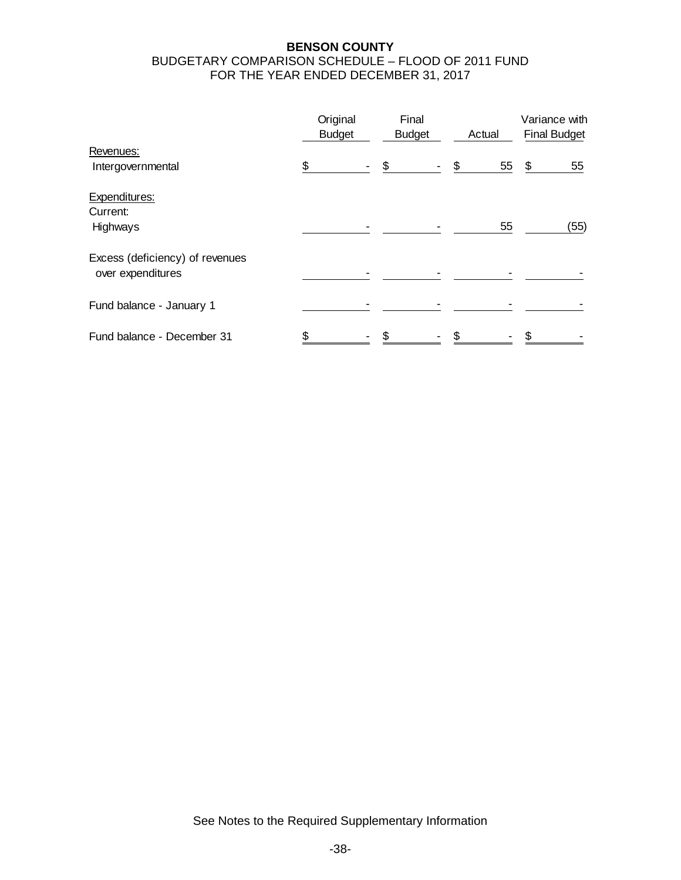# **BENSON COUNTY**  BUDGETARY COMPARISON SCHEDULE – FLOOD OF 2011 FUND FOR THE YEAR ENDED DECEMBER 31, 2017

|                                 | Original<br><b>Budget</b> |  | Final<br><b>Budget</b> |  | Actual |    | Variance with<br><b>Final Budget</b> |      |
|---------------------------------|---------------------------|--|------------------------|--|--------|----|--------------------------------------|------|
| Revenues:                       |                           |  |                        |  |        |    |                                      |      |
| Intergovernmental               | \$                        |  | $\mathfrak{S}$         |  | \$     | 55 | \$                                   | 55   |
| Expenditures:                   |                           |  |                        |  |        |    |                                      |      |
| Current:                        |                           |  |                        |  |        |    |                                      |      |
| Highways                        |                           |  |                        |  |        | 55 |                                      | (55) |
| Excess (deficiency) of revenues |                           |  |                        |  |        |    |                                      |      |
| over expenditures               |                           |  |                        |  |        |    |                                      |      |
| Fund balance - January 1        |                           |  |                        |  |        |    |                                      |      |
| Fund balance - December 31      |                           |  |                        |  |        |    |                                      |      |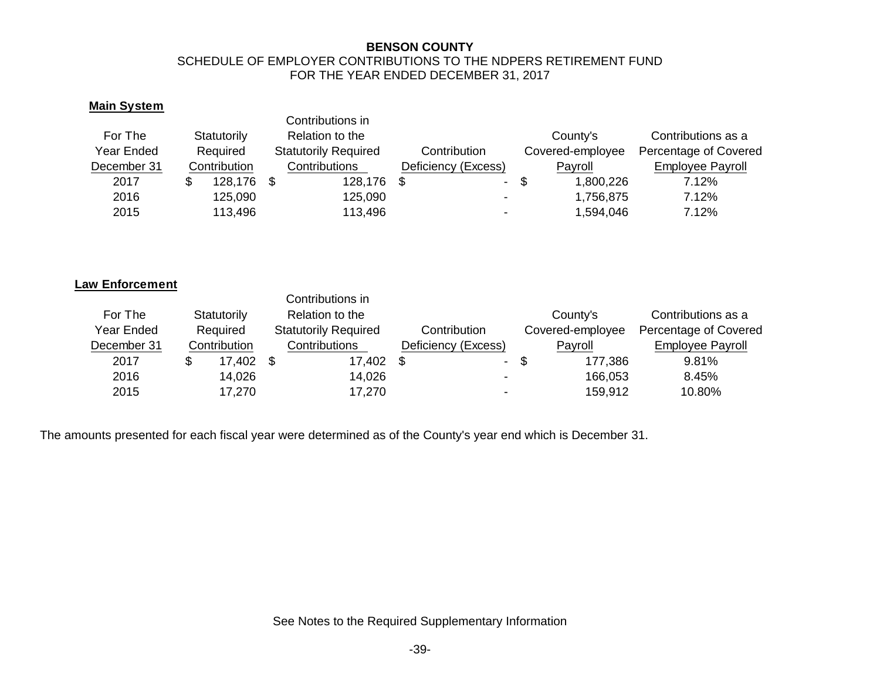#### **BENSON COUNTY**  SCHEDULE OF EMPLOYER CONTRIBUTIONS TO THE NDPERS RETIREMENT FUND FOR THE YEAR ENDED DECEMBER 31, 2017

# **Main System**

|             |              |      | Contributions in            |                          |    |                  |                       |
|-------------|--------------|------|-----------------------------|--------------------------|----|------------------|-----------------------|
| For The     | Statutorily  |      | Relation to the             |                          |    | County's         | Contributions as a    |
| Year Ended  | Required     |      | <b>Statutorily Required</b> | Contribution             |    | Covered-employee | Percentage of Covered |
| December 31 | Contribution |      | Contributions               | Deficiency (Excess)      |    | Payroll          | Employee Payroll      |
| 2017        | 128,176      | - \$ | 128,176                     | - \$<br>$\sim$           | -S | 1,800,226        | 7.12%                 |
| 2016        | 125,090      |      | 125,090                     | $\blacksquare$           |    | 1,756,875        | 7.12%                 |
| 2015        | 113,496      |      | 113,496                     | $\overline{\phantom{0}}$ |    | 1,594,046        | 7.12%                 |

#### **Law Enforcement**

|             |              | Contributions in            |                     |        |    |                  |                         |
|-------------|--------------|-----------------------------|---------------------|--------|----|------------------|-------------------------|
| For The     | Statutorily  | Relation to the             |                     |        |    | County's         | Contributions as a      |
| Year Ended  | Required     | <b>Statutorily Required</b> | Contribution        |        |    | Covered-employee | Percentage of Covered   |
| December 31 | Contribution | Contributions               | Deficiency (Excess) |        |    | Payroll          | <b>Employee Payroll</b> |
| 2017        | 17,402       | 17,402                      | - \$                | $\sim$ | -S | 177,386          | $9.81\%$                |
| 2016        | 14,026       | 14,026                      |                     |        |    | 166,053          | 8.45%                   |
| 2015        | 17,270       | 17,270                      |                     |        |    | 159,912          | 10.80%                  |

The amounts presented for each fiscal year were determined as of the County's year end which is December 31.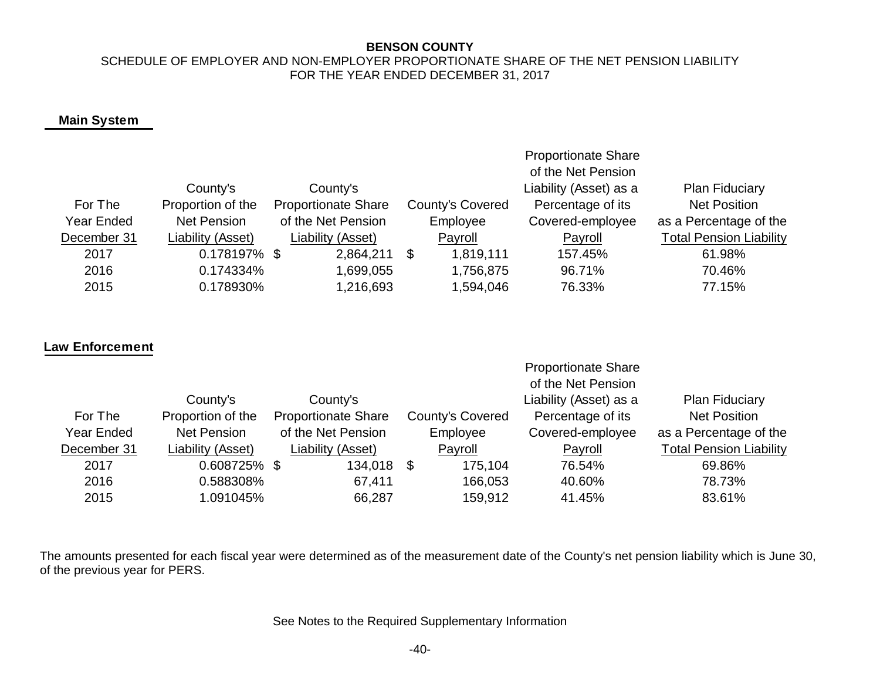#### **BENSON COUNTY**

## SCHEDULE OF EMPLOYER AND NON-EMPLOYER PROPORTIONATE SHARE OF THE NET PENSION LIABILITY FOR THE YEAR ENDED DECEMBER 31, 2017

# **Main System**

|                        | County's          | County's                   |                         | <b>Proportionate Share</b><br>of the Net Pension<br>Liability (Asset) as a | <b>Plan Fiduciary</b>          |
|------------------------|-------------------|----------------------------|-------------------------|----------------------------------------------------------------------------|--------------------------------|
| <b>Law Enforcement</b> |                   |                            |                         |                                                                            |                                |
| 2015                   | 0.178930%         | 1,216,693                  | 1,594,046               | 76.33%                                                                     | 77.15%                         |
| 2016                   | 0.174334%         | 1,699,055                  | 1,756,875               | 96.71%                                                                     | 70.46%                         |
| 2017                   | 0.178197% \$      | 2,864,211                  | \$<br>1,819,111         | 157.45%                                                                    | 61.98%                         |
| December 31            | Liability (Asset) | Liability (Asset)          | Payroll                 | Payroll                                                                    | <b>Total Pension Liability</b> |
| <b>Year Ended</b>      | Net Pension       | of the Net Pension         | Employee                | Covered-employee                                                           | as a Percentage of the         |
| For The                | Proportion of the | <b>Proportionate Share</b> | <b>County's Covered</b> | Percentage of its                                                          | <b>Net Position</b>            |
|                        | County's          | County's                   |                         | Liability (Asset) as a                                                     | <b>Plan Fiduciary</b>          |
|                        |                   |                            |                         | of the Net Pension                                                         |                                |
|                        |                   |                            |                         | <b>Proportionate Share</b>                                                 |                                |

|             | County's          | County's                   |                         | Liability (Asset) as a | <b>Plan Fiduciary</b>          |
|-------------|-------------------|----------------------------|-------------------------|------------------------|--------------------------------|
| For The     | Proportion of the | <b>Proportionate Share</b> | <b>County's Covered</b> | Percentage of its      | <b>Net Position</b>            |
| Year Ended  | Net Pension       | of the Net Pension         | Employee                | Covered-employee       | as a Percentage of the         |
| December 31 | Liability (Asset) | Liability (Asset)          | Payroll                 | Payroll                | <b>Total Pension Liability</b> |
| 2017        | 0.608725% \$      | 134,018                    | -\$<br>175,104          | 76.54%                 | 69.86%                         |
| 2016        | 0.588308%         | 67,411                     | 166,053                 | 40.60%                 | 78.73%                         |
| 2015        | 1.091045%         | 66,287                     | 159,912                 | 41.45%                 | 83.61%                         |

The amounts presented for each fiscal year were determined as of the measurement date of the County's net pension liability which is June 30, of the previous year for PERS.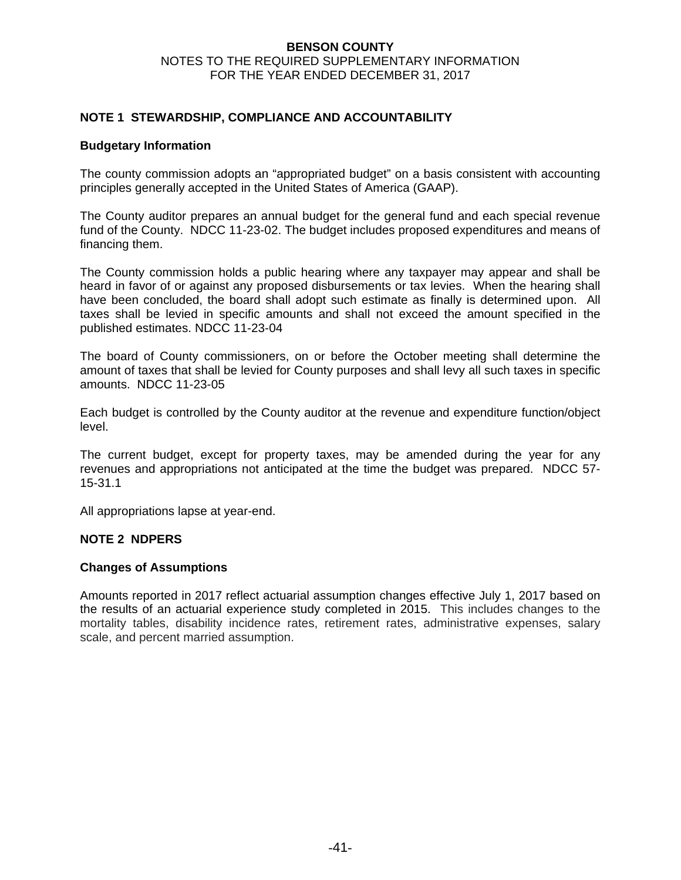#### **BENSON COUNTY**  NOTES TO THE REQUIRED SUPPLEMENTARY INFORMATION FOR THE YEAR ENDED DECEMBER 31, 2017

# **NOTE 1 STEWARDSHIP, COMPLIANCE AND ACCOUNTABILITY**

#### **Budgetary Information**

The county commission adopts an "appropriated budget" on a basis consistent with accounting principles generally accepted in the United States of America (GAAP).

The County auditor prepares an annual budget for the general fund and each special revenue fund of the County. NDCC 11-23-02. The budget includes proposed expenditures and means of financing them.

The County commission holds a public hearing where any taxpayer may appear and shall be heard in favor of or against any proposed disbursements or tax levies. When the hearing shall have been concluded, the board shall adopt such estimate as finally is determined upon. All taxes shall be levied in specific amounts and shall not exceed the amount specified in the published estimates. NDCC 11-23-04

The board of County commissioners, on or before the October meeting shall determine the amount of taxes that shall be levied for County purposes and shall levy all such taxes in specific amounts. NDCC 11-23-05

Each budget is controlled by the County auditor at the revenue and expenditure function/object level.

The current budget, except for property taxes, may be amended during the year for any revenues and appropriations not anticipated at the time the budget was prepared. NDCC 57- 15-31.1

All appropriations lapse at year-end.

## **NOTE 2 NDPERS**

#### **Changes of Assumptions**

Amounts reported in 2017 reflect actuarial assumption changes effective July 1, 2017 based on the results of an actuarial experience study completed in 2015. This includes changes to the mortality tables, disability incidence rates, retirement rates, administrative expenses, salary scale, and percent married assumption.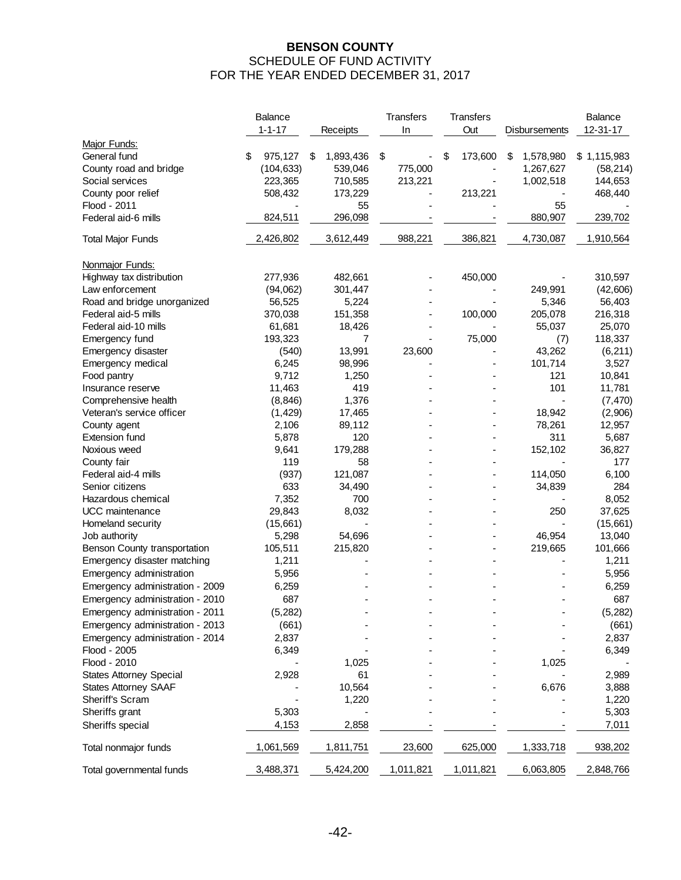# **BENSON COUNTY**  SCHEDULE OF FUND ACTIVITY FOR THE YEAR ENDED DECEMBER 31, 2017

|                                       | Balance       |    |           | <b>Transfers</b> |           | Transfers     |    |               | Balance     |  |
|---------------------------------------|---------------|----|-----------|------------------|-----------|---------------|----|---------------|-------------|--|
|                                       | $1 - 1 - 17$  |    | Receipts  |                  | In        | Out           |    | Disbursements | 12-31-17    |  |
| Major Funds:                          |               |    |           |                  |           |               |    |               |             |  |
| General fund                          | \$<br>975,127 | \$ | 1,893,436 | \$               |           | \$<br>173,600 | \$ | 1,578,980     | \$1,115,983 |  |
| County road and bridge                | (104, 633)    |    | 539,046   |                  | 775,000   |               |    | 1,267,627     | (58, 214)   |  |
| Social services                       | 223,365       |    | 710,585   |                  | 213,221   |               |    | 1,002,518     | 144,653     |  |
| County poor relief                    | 508,432       |    | 173,229   |                  |           | 213,221       |    |               | 468,440     |  |
| Flood - 2011                          |               |    | 55        |                  |           |               |    | 55            |             |  |
| Federal aid-6 mills                   | 824,511       |    | 296,098   |                  |           |               |    | 880,907       | 239,702     |  |
| <b>Total Major Funds</b>              | 2,426,802     |    | 3,612,449 |                  | 988,221   | 386,821       |    | 4,730,087     | 1,910,564   |  |
| Nonmajor Funds:                       |               |    |           |                  |           |               |    |               |             |  |
| Highway tax distribution              | 277,936       |    | 482,661   |                  |           | 450,000       |    |               | 310,597     |  |
| Law enforcement                       | (94,062)      |    | 301,447   |                  |           |               |    | 249,991       | (42,606)    |  |
| Road and bridge unorganized           | 56,525        |    | 5,224     |                  |           |               |    | 5,346         | 56,403      |  |
| Federal aid-5 mills                   | 370,038       |    | 151,358   |                  |           | 100,000       |    | 205,078       | 216,318     |  |
| Federal aid-10 mills                  | 61,681        |    | 18,426    |                  |           |               |    | 55,037        | 25,070      |  |
| Emergency fund                        | 193,323       |    | 7         |                  |           | 75,000        |    | (7)           | 118,337     |  |
| Emergency disaster                    | (540)         |    | 13,991    |                  | 23,600    |               |    | 43,262        | (6, 211)    |  |
| Emergency medical                     | 6,245         |    | 98,996    |                  |           |               |    | 101,714       | 3,527       |  |
| Food pantry                           | 9,712         |    | 1,250     |                  |           |               |    | 121           | 10,841      |  |
| Insurance reserve                     | 11,463        |    | 419       |                  |           |               |    | 101           | 11,781      |  |
| Comprehensive health                  | (8, 846)      |    | 1,376     |                  |           |               |    |               | (7, 470)    |  |
| Veteran's service officer             | (1, 429)      |    | 17,465    |                  |           |               |    | 18,942        | (2,906)     |  |
|                                       | 2,106         |    | 89,112    |                  |           |               |    | 78,261        | 12,957      |  |
| County agent<br><b>Extension fund</b> | 5,878         |    | 120       |                  |           |               |    | 311           |             |  |
|                                       | 9,641         |    |           |                  |           |               |    | 152,102       | 5,687       |  |
| Noxious weed                          | 119           |    | 179,288   |                  |           |               |    |               | 36,827      |  |
| County fair                           |               |    | 58        |                  |           |               |    |               | 177         |  |
| Federal aid-4 mills                   | (937)         |    | 121,087   |                  |           |               |    | 114,050       | 6,100       |  |
| Senior citizens                       | 633           |    | 34,490    |                  |           |               |    | 34,839        | 284         |  |
| Hazardous chemical                    | 7,352         |    | 700       |                  |           |               |    |               | 8,052       |  |
| <b>UCC</b> maintenance                | 29,843        |    | 8,032     |                  |           |               |    | 250           | 37,625      |  |
| Homeland security                     | (15,661)      |    |           |                  |           |               |    |               | (15,661)    |  |
| Job authority                         | 5,298         |    | 54,696    |                  |           |               |    | 46,954        | 13,040      |  |
| Benson County transportation          | 105,511       |    | 215,820   |                  |           |               |    | 219,665       | 101,666     |  |
| Emergency disaster matching           | 1,211         |    |           |                  |           |               |    |               | 1,211       |  |
| Emergency administration              | 5,956         |    |           |                  |           |               |    |               | 5,956       |  |
| Emergency administration - 2009       | 6,259         |    |           |                  |           |               |    |               | 6,259       |  |
| Emergency administration - 2010       | 687           |    |           |                  |           |               |    |               | 687         |  |
| Emergency administration - 2011       | (5, 282)      |    |           |                  |           |               |    |               | (5,282)     |  |
| Emergency administration - 2013       | (661)         |    |           |                  |           |               |    |               | (661)       |  |
| Emergency administration - 2014       | 2,837         |    |           |                  |           |               |    |               | 2,837       |  |
| Flood - 2005                          | 6,349         |    |           |                  |           |               |    |               | 6,349       |  |
| Flood - 2010                          |               |    | 1,025     |                  |           |               |    | 1,025         |             |  |
| <b>States Attorney Special</b>        | 2,928         |    | 61        |                  |           |               |    |               | 2,989       |  |
| <b>States Attorney SAAF</b>           |               |    | 10,564    |                  |           |               |    | 6,676         | 3,888       |  |
| Sheriff's Scram                       |               |    | 1,220     |                  |           |               |    |               | 1,220       |  |
| Sheriffs grant                        | 5,303         |    |           |                  |           |               |    |               | 5,303       |  |
| Sheriffs special                      | 4,153         |    | 2,858     |                  |           |               |    |               | 7,011       |  |
|                                       |               |    |           |                  |           |               |    |               |             |  |
| Total nonmajor funds                  | 1,061,569     |    | 1,811,751 |                  | 23,600    | 625,000       |    | 1,333,718     | 938,202     |  |
| Total governmental funds              | 3,488,371     |    | 5,424,200 |                  | 1,011,821 | 1,011,821     |    | 6,063,805     | 2,848,766   |  |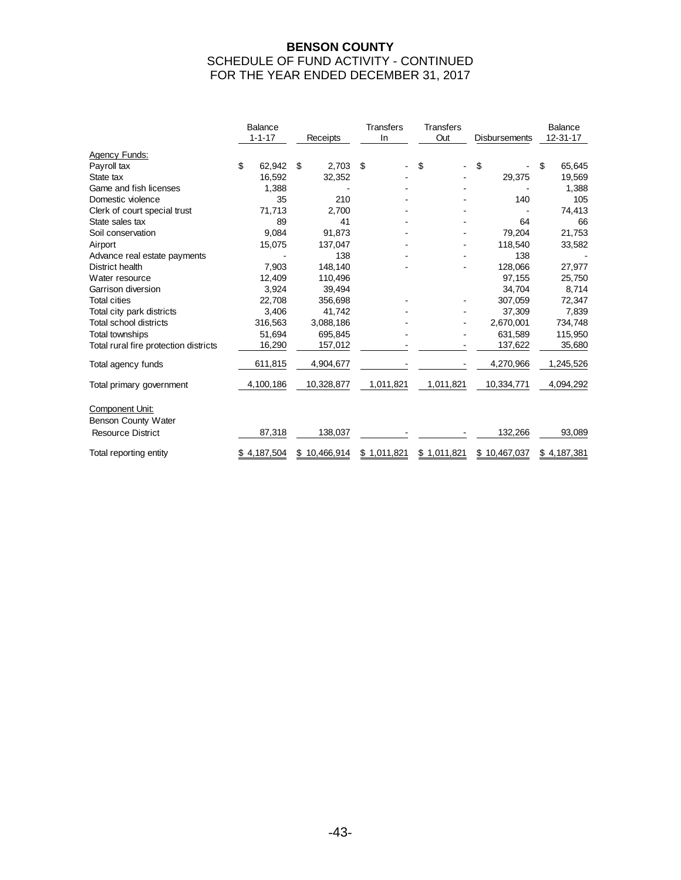# **BENSON COUNTY**  SCHEDULE OF FUND ACTIVITY - CONTINUED FOR THE YEAR ENDED DECEMBER 31, 2017

|                                               | <b>Balance</b><br>$1 - 1 - 17$ | Receipts     | <b>Transfers</b><br>In | <b>Transfers</b><br>Out | <b>Disbursements</b> | Balance<br>12-31-17 |
|-----------------------------------------------|--------------------------------|--------------|------------------------|-------------------------|----------------------|---------------------|
| <b>Agency Funds:</b>                          |                                |              |                        |                         |                      |                     |
| Payroll tax                                   | \$<br>62,942                   | 2,703<br>\$  | \$                     | \$                      | \$                   | \$<br>65,645        |
| State tax                                     | 16,592                         | 32,352       |                        |                         | 29,375               | 19,569              |
| Game and fish licenses                        | 1,388                          |              |                        |                         |                      | 1,388               |
| Domestic violence                             | 35                             | 210          |                        |                         | 140                  | 105                 |
| Clerk of court special trust                  | 71,713                         | 2,700        |                        |                         |                      | 74,413              |
| State sales tax                               | 89                             | 41           |                        |                         | 64                   | 66                  |
| Soil conservation                             | 9,084                          | 91,873       |                        |                         | 79,204               | 21,753              |
| Airport                                       | 15,075                         | 137,047      |                        |                         | 118,540              | 33,582              |
| Advance real estate payments                  |                                | 138          |                        |                         | 138                  |                     |
| District health                               | 7,903                          | 148,140      |                        |                         | 128,066              | 27,977              |
| Water resource                                | 12,409                         | 110,496      |                        |                         | 97,155               | 25,750              |
| Garrison diversion                            | 3,924                          | 39,494       |                        |                         | 34,704               | 8,714               |
| <b>Total cities</b>                           | 22,708                         | 356,698      |                        |                         | 307,059              | 72,347              |
| Total city park districts                     | 3.406                          | 41,742       |                        |                         | 37.309               | 7,839               |
| Total school districts                        | 316,563                        | 3,088,186    |                        |                         | 2,670,001            | 734,748             |
| Total townships                               | 51,694                         | 695,845      |                        |                         | 631,589              | 115,950             |
| Total rural fire protection districts         | 16,290                         | 157,012      |                        |                         | 137,622              | 35,680              |
| Total agency funds                            | 611,815                        | 4,904,677    |                        |                         | 4,270,966            | 1,245,526           |
| Total primary government                      | 4,100,186                      | 10,328,877   | 1,011,821              | 1,011,821               | 10,334,771           | 4,094,292           |
| Component Unit:<br><b>Benson County Water</b> |                                |              |                        |                         |                      |                     |
| <b>Resource District</b>                      | 87,318                         | 138,037      |                        |                         | 132,266              | 93,089              |
| Total reporting entity                        | \$4,187,504                    | \$10,466,914 | \$1,011,821            | \$1,011,821             | \$10,467,037         | \$4,187,381         |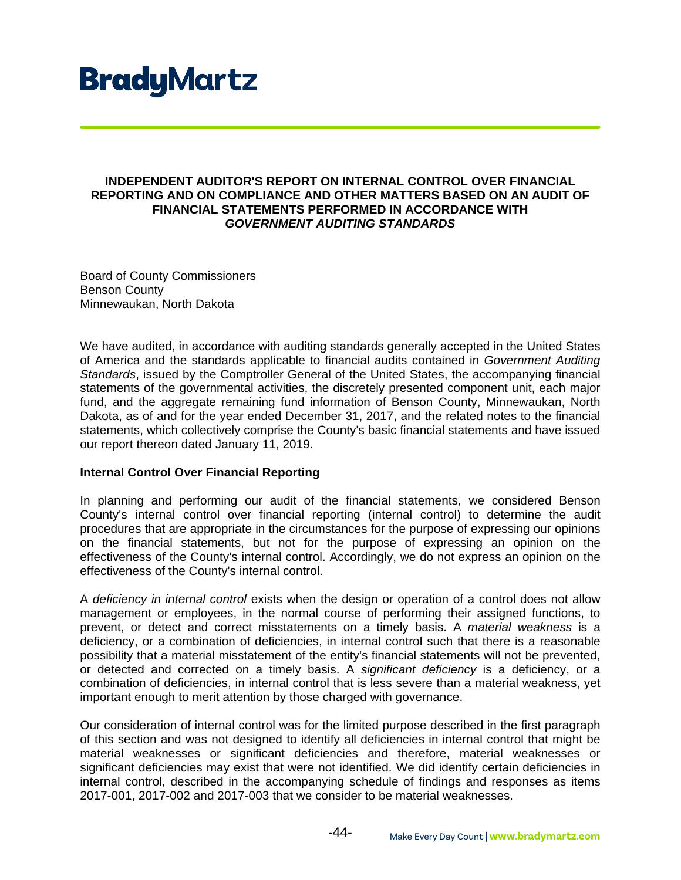# **BradyMartz**

# **INDEPENDENT AUDITOR'S REPORT ON INTERNAL CONTROL OVER FINANCIAL REPORTING AND ON COMPLIANCE AND OTHER MATTERS BASED ON AN AUDIT OF FINANCIAL STATEMENTS PERFORMED IN ACCORDANCE WITH**  *GOVERNMENT AUDITING STANDARDS*

Board of County Commissioners Benson County Minnewaukan, North Dakota

We have audited, in accordance with auditing standards generally accepted in the United States of America and the standards applicable to financial audits contained in *Government Auditing Standards*, issued by the Comptroller General of the United States, the accompanying financial statements of the governmental activities, the discretely presented component unit, each major fund, and the aggregate remaining fund information of Benson County, Minnewaukan, North Dakota, as of and for the year ended December 31, 2017, and the related notes to the financial statements, which collectively comprise the County's basic financial statements and have issued our report thereon dated January 11, 2019.

#### **Internal Control Over Financial Reporting**

In planning and performing our audit of the financial statements, we considered Benson County's internal control over financial reporting (internal control) to determine the audit procedures that are appropriate in the circumstances for the purpose of expressing our opinions on the financial statements, but not for the purpose of expressing an opinion on the effectiveness of the County's internal control. Accordingly, we do not express an opinion on the effectiveness of the County's internal control.

A *deficiency in internal control* exists when the design or operation of a control does not allow management or employees, in the normal course of performing their assigned functions, to prevent, or detect and correct misstatements on a timely basis. A *material weakness* is a deficiency, or a combination of deficiencies, in internal control such that there is a reasonable possibility that a material misstatement of the entity's financial statements will not be prevented, or detected and corrected on a timely basis. A *significant deficiency* is a deficiency, or a combination of deficiencies, in internal control that is less severe than a material weakness, yet important enough to merit attention by those charged with governance.

Our consideration of internal control was for the limited purpose described in the first paragraph of this section and was not designed to identify all deficiencies in internal control that might be material weaknesses or significant deficiencies and therefore, material weaknesses or significant deficiencies may exist that were not identified. We did identify certain deficiencies in internal control, described in the accompanying schedule of findings and responses as items 2017-001, 2017-002 and 2017-003 that we consider to be material weaknesses.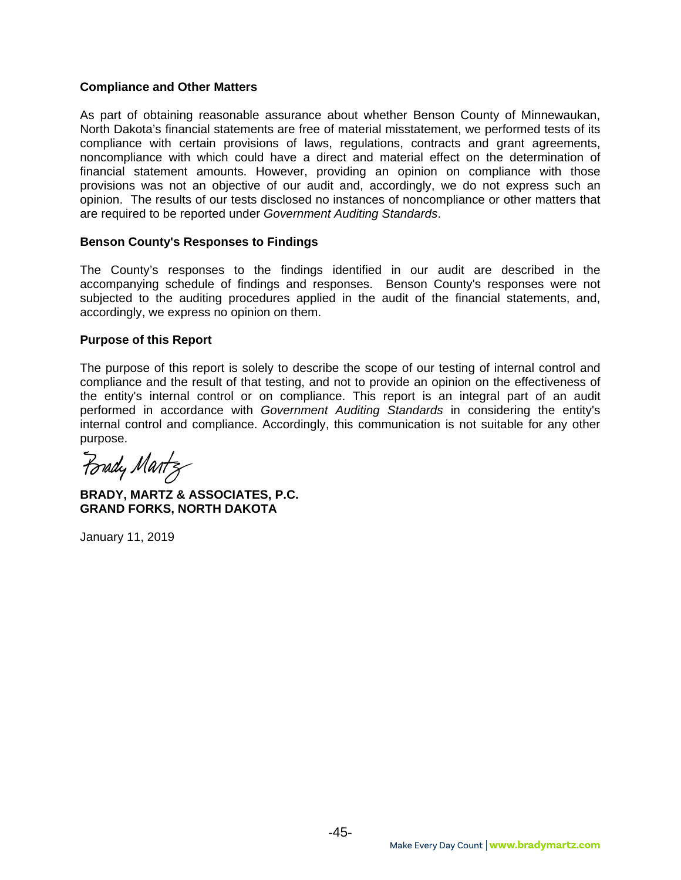# **Compliance and Other Matters**

As part of obtaining reasonable assurance about whether Benson County of Minnewaukan, North Dakota's financial statements are free of material misstatement, we performed tests of its compliance with certain provisions of laws, regulations, contracts and grant agreements, noncompliance with which could have a direct and material effect on the determination of financial statement amounts. However, providing an opinion on compliance with those provisions was not an objective of our audit and, accordingly, we do not express such an opinion. The results of our tests disclosed no instances of noncompliance or other matters that are required to be reported under *Government Auditing Standards*.

# **Benson County's Responses to Findings**

The County's responses to the findings identified in our audit are described in the accompanying schedule of findings and responses. Benson County's responses were not subjected to the auditing procedures applied in the audit of the financial statements, and, accordingly, we express no opinion on them.

#### **Purpose of this Report**

The purpose of this report is solely to describe the scope of our testing of internal control and compliance and the result of that testing, and not to provide an opinion on the effectiveness of the entity's internal control or on compliance. This report is an integral part of an audit performed in accordance with *Government Auditing Standards* in considering the entity's internal control and compliance. Accordingly, this communication is not suitable for any other purpose.

Porady Martz

**BRADY, MARTZ & ASSOCIATES, P.C. GRAND FORKS, NORTH DAKOTA** 

January 11, 2019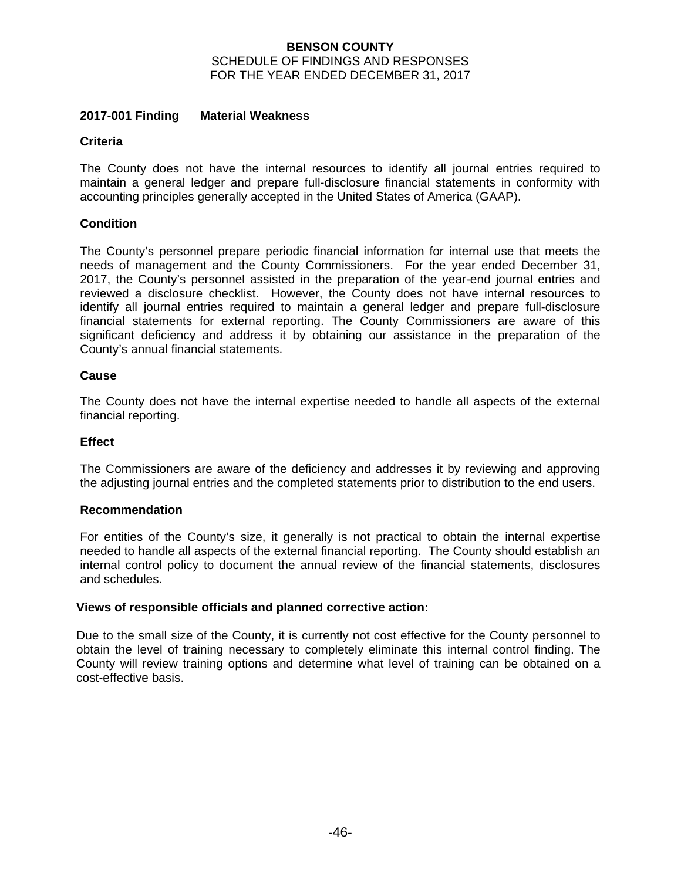## **BENSON COUNTY**  SCHEDULE OF FINDINGS AND RESPONSES FOR THE YEAR ENDED DECEMBER 31, 2017

## **2017-001 Finding Material Weakness**

## **Criteria**

The County does not have the internal resources to identify all journal entries required to maintain a general ledger and prepare full-disclosure financial statements in conformity with accounting principles generally accepted in the United States of America (GAAP).

# **Condition**

The County's personnel prepare periodic financial information for internal use that meets the needs of management and the County Commissioners. For the year ended December 31, 2017, the County's personnel assisted in the preparation of the year-end journal entries and reviewed a disclosure checklist. However, the County does not have internal resources to identify all journal entries required to maintain a general ledger and prepare full-disclosure financial statements for external reporting. The County Commissioners are aware of this significant deficiency and address it by obtaining our assistance in the preparation of the County's annual financial statements.

# **Cause**

The County does not have the internal expertise needed to handle all aspects of the external financial reporting.

#### **Effect**

The Commissioners are aware of the deficiency and addresses it by reviewing and approving the adjusting journal entries and the completed statements prior to distribution to the end users.

#### **Recommendation**

For entities of the County's size, it generally is not practical to obtain the internal expertise needed to handle all aspects of the external financial reporting. The County should establish an internal control policy to document the annual review of the financial statements, disclosures and schedules.

#### **Views of responsible officials and planned corrective action:**

Due to the small size of the County, it is currently not cost effective for the County personnel to obtain the level of training necessary to completely eliminate this internal control finding. The County will review training options and determine what level of training can be obtained on a cost-effective basis.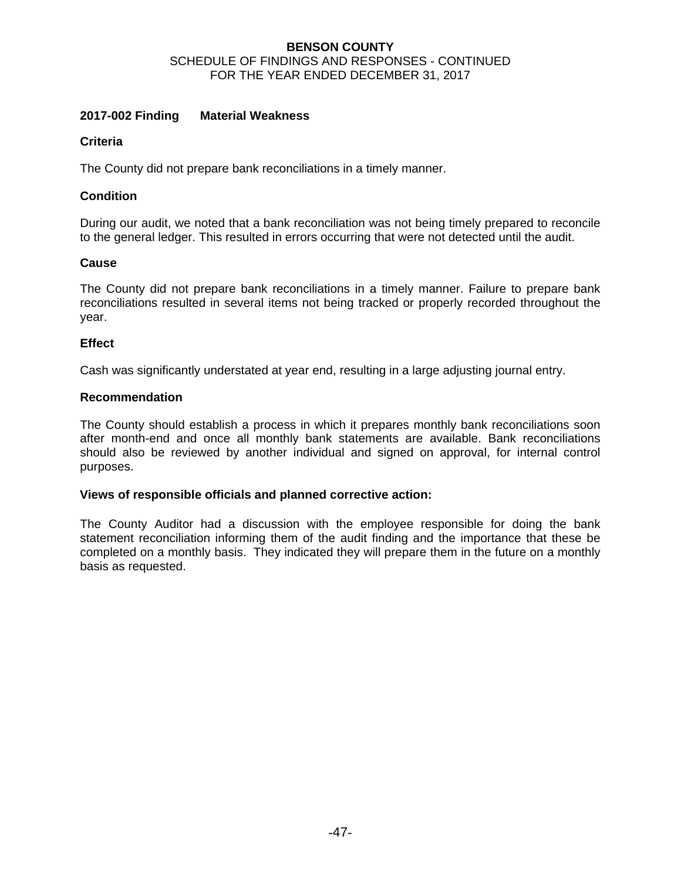#### **BENSON COUNTY**  SCHEDULE OF FINDINGS AND RESPONSES - CONTINUED FOR THE YEAR ENDED DECEMBER 31, 2017

# **2017-002 Finding Material Weakness**

## **Criteria**

The County did not prepare bank reconciliations in a timely manner.

# **Condition**

During our audit, we noted that a bank reconciliation was not being timely prepared to reconcile to the general ledger. This resulted in errors occurring that were not detected until the audit.

# **Cause**

The County did not prepare bank reconciliations in a timely manner. Failure to prepare bank reconciliations resulted in several items not being tracked or properly recorded throughout the year.

#### **Effect**

Cash was significantly understated at year end, resulting in a large adjusting journal entry.

# **Recommendation**

The County should establish a process in which it prepares monthly bank reconciliations soon after month-end and once all monthly bank statements are available. Bank reconciliations should also be reviewed by another individual and signed on approval, for internal control purposes.

#### **Views of responsible officials and planned corrective action:**

The County Auditor had a discussion with the employee responsible for doing the bank statement reconciliation informing them of the audit finding and the importance that these be completed on a monthly basis. They indicated they will prepare them in the future on a monthly basis as requested.